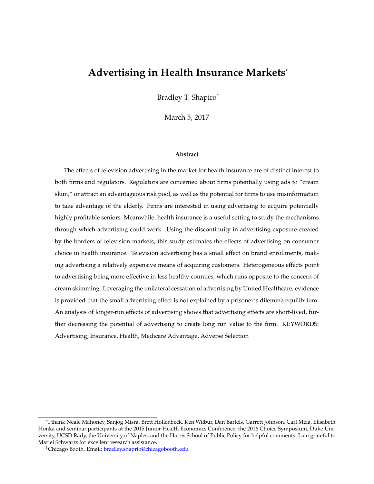# **Advertising in Health Insurance Markets**\*

Bradley T. Shapiro†

March 5, 2017

#### **Abstract**

The effects of television advertising in the market for health insurance are of distinct interest to both firms and regulators. Regulators are concerned about firms potentially using ads to "cream skim," or attract an advantageous risk pool, as well as the potential for firms to use misinformation to take advantage of the elderly. Firms are interested in using advertising to acquire potentially highly profitable seniors. Meanwhile, health insurance is a useful setting to study the mechanisms through which advertising could work. Using the discontinuity in advertising exposure created by the borders of television markets, this study estimates the effects of advertising on consumer choice in health insurance. Television advertising has a small effect on brand enrollments, making advertising a relatively expensive means of acquiring customers. Heterogeneous effects point to advertising being more effective in less healthy counties, which runs opposite to the concern of cream skimming. Leveraging the unilateral cessation of advertising by United Healthcare, evidence is provided that the small advertising effect is not explained by a prisoner's dilemma equilibrium. An analysis of longer-run effects of advertising shows that advertising effects are short-lived, further decreasing the potential of advertising to create long run value to the firm. KEYWORDS: Advertising, Insurance, Health, Medicare Advantage, Adverse Selection

<sup>\*</sup>I thank Neale Mahoney, Sanjog Misra, Brett Hollenbeck, Ken Wilbur, Dan Bartels, Garrett Johnson, Carl Mela, Elisabeth Honka and seminar participants at the 2015 Junior Health Economics Conference, the 2016 Choice Symposium, Duke University, UCSD Rady, the University of Naples, and the Harris School of Public Policy for helpful comments. I am grateful to Mariel Schwartz for excellent research assistance.

<sup>†</sup>Chicago Booth. Email: [bradley.shaprio@chicagobooth.edu](mailto:bradley.shaprio@chicagobooth.edu)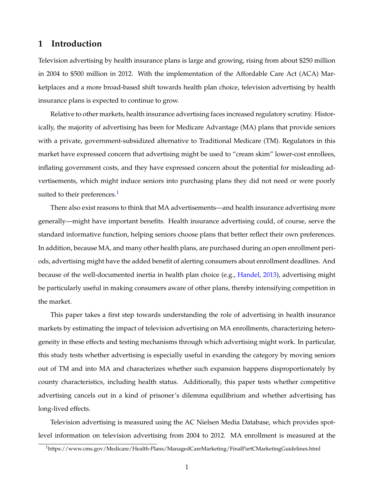## **1 Introduction**

Television advertising by health insurance plans is large and growing, rising from about \$250 million in 2004 to \$500 million in 2012. With the implementation of the Affordable Care Act (ACA) Marketplaces and a more broad-based shift towards health plan choice, television advertising by health insurance plans is expected to continue to grow.

Relative to other markets, health insurance advertising faces increased regulatory scrutiny. Historically, the majority of advertising has been for Medicare Advantage (MA) plans that provide seniors with a private, government-subsidized alternative to Traditional Medicare (TM). Regulators in this market have expressed concern that advertising might be used to "cream skim" lower-cost enrollees, inflating government costs, and they have expressed concern about the potential for misleading advertisements, which might induce seniors into purchasing plans they did not need or were poorly suited to their preferences.<sup>[1](#page-1-0)</sup>

There also exist reasons to think that MA advertisements—and health insurance advertising more generally—might have important benefits. Health insurance advertising could, of course, serve the standard informative function, helping seniors choose plans that better reflect their own preferences. In addition, because MA, and many other health plans, are purchased during an open enrollment periods, advertising might have the added benefit of alerting consumers about enrollment deadlines. And because of the well-documented inertia in health plan choice (e.g., [Handel,](#page-26-0) [2013\)](#page-26-0), advertising might be particularly useful in making consumers aware of other plans, thereby intensifying competition in the market.

This paper takes a first step towards understanding the role of advertising in health insurance markets by estimating the impact of television advertising on MA enrollments, characterizing heterogeneity in these effects and testing mechanisms through which advertising might work. In particular, this study tests whether advertising is especially useful in exanding the category by moving seniors out of TM and into MA and characterizes whether such expansion happens disproportionately by county characteristics, including health status. Additionally, this paper tests whether competitive advertising cancels out in a kind of prisoner's dilemma equilibrium and whether advertising has long-lived effects.

Television advertising is measured using the AC Nielsen Media Database, which provides spotlevel information on television advertising from 2004 to 2012. MA enrollment is measured at the

<span id="page-1-0"></span><sup>1</sup>https://www.cms.gov/Medicare/Health-Plans/ManagedCareMarketing/FinalPartCMarketingGuidelines.html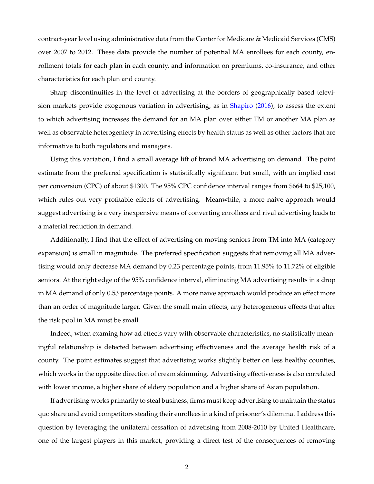contract-year level using administrative data from the Center for Medicare & Medicaid Services (CMS) over 2007 to 2012. These data provide the number of potential MA enrollees for each county, enrollment totals for each plan in each county, and information on premiums, co-insurance, and other characteristics for each plan and county.

Sharp discontinuities in the level of advertising at the borders of geographically based television markets provide exogenous variation in advertising, as in [Shapiro](#page-27-0) [\(2016\)](#page-27-0), to assess the extent to which advertising increases the demand for an MA plan over either TM or another MA plan as well as observable heterogeniety in advertising effects by health status as well as other factors that are informative to both regulators and managers.

Using this variation, I find a small average lift of brand MA advertising on demand. The point estimate from the preferred specification is statistifcally significant but small, with an implied cost per conversion (CPC) of about \$1300. The 95% CPC confidence interval ranges from \$664 to \$25,100, which rules out very profitable effects of advertising. Meanwhile, a more naive approach would suggest advertising is a very inexpensive means of converting enrollees and rival advertising leads to a material reduction in demand.

Additionally, I find that the effect of advertising on moving seniors from TM into MA (category expansion) is small in magnitude. The preferred specification suggests that removing all MA advertising would only decrease MA demand by 0.23 percentage points, from 11.95% to 11.72% of eligible seniors. At the right edge of the 95% confidence interval, eliminating MA advertising results in a drop in MA demand of only 0.53 percentage points. A more naive approach would produce an effect more than an order of magnitude larger. Given the small main effects, any heterogeneous effects that alter the risk pool in MA must be small.

Indeed, when examing how ad effects vary with observable characteristics, no statistically meaningful relationship is detected between advertising effectiveness and the average health risk of a county. The point estimates suggest that advertising works slightly better on less healthy counties, which works in the opposite direction of cream skimming. Advertising effectiveness is also correlated with lower income, a higher share of eldery population and a higher share of Asian population.

If advertising works primarily to steal business, firms must keep advertising to maintain the status quo share and avoid competitors stealing their enrollees in a kind of prisoner's dilemma. I address this question by leveraging the unilateral cessation of advetising from 2008-2010 by United Healthcare, one of the largest players in this market, providing a direct test of the consequences of removing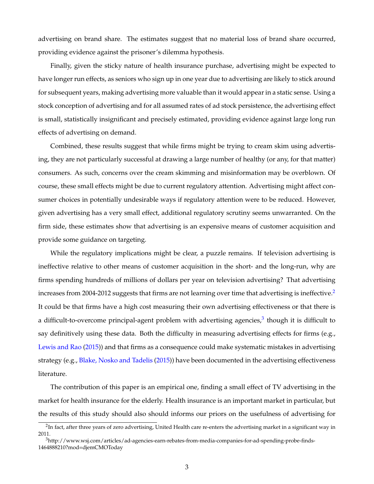advertising on brand share. The estimates suggest that no material loss of brand share occurred, providing evidence against the prisoner's dilemma hypothesis.

Finally, given the sticky nature of health insurance purchase, advertising might be expected to have longer run effects, as seniors who sign up in one year due to advertising are likely to stick around for subsequent years, making advertising more valuable than it would appear in a static sense. Using a stock conception of advertising and for all assumed rates of ad stock persistence, the advertising effect is small, statistically insignificant and precisely estimated, providing evidence against large long run effects of advertising on demand.

Combined, these results suggest that while firms might be trying to cream skim using advertising, they are not particularly successful at drawing a large number of healthy (or any, for that matter) consumers. As such, concerns over the cream skimming and misinformation may be overblown. Of course, these small effects might be due to current regulatory attention. Advertising might affect consumer choices in potentially undesirable ways if regulatory attention were to be reduced. However, given advertising has a very small effect, additional regulatory scrutiny seems unwarranted. On the firm side, these estimates show that advertising is an expensive means of customer acquisition and provide some guidance on targeting.

While the regulatory implications might be clear, a puzzle remains. If television advertising is ineffective relative to other means of customer acquisition in the short- and the long-run, why are firms spending hundreds of millions of dollars per year on television advertising? That advertising increases from [2](#page-3-0)004-2012 suggests that firms are not learning over time that advertising is ineffective.<sup>2</sup> It could be that firms have a high cost measuring their own advertising effectiveness or that there is a difficult-to-overcome principal-agent problem with advertising agencies, $^3$  $^3$  though it is difficult to say definitively using these data. Both the difficulty in measuring advertising effects for firms (e.g., [Lewis and Rao](#page-26-1) [\(2015\)](#page-26-1)) and that firms as a consequence could make systematic mistakes in advertising strategy (e.g., [Blake, Nosko and Tadelis](#page-26-2) [\(2015\)](#page-26-2)) have been documented in the advertising effectiveness literature.

The contribution of this paper is an empirical one, finding a small effect of TV advertising in the market for health insurance for the elderly. Health insurance is an important market in particular, but the results of this study should also should informs our priors on the usefulness of advertising for

<span id="page-3-0"></span> $^2$ In fact, after three years of zero advertising, United Health care re-enters the advertising market in a significant way in 2011.

<span id="page-3-1"></span><sup>3</sup>http://www.wsj.com/articles/ad-agencies-earn-rebates-from-media-companies-for-ad-spending-probe-finds-1464888210?mod=djemCMOToday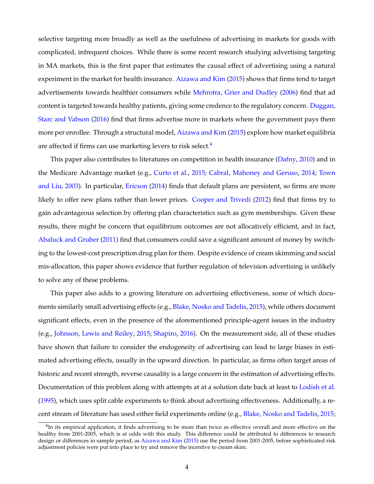selective targeting more broadly as well as the usefulness of advertising in markets for goods with complicated, infrequent choices. While there is some recent research studying advertising targeting in MA markets, this is the first paper that estimates the causal effect of advertising using a natural experiment in the market for health insurance. [Aizawa and Kim](#page-25-0) [\(2015\)](#page-25-0) shows that firms tend to target advertisements towards healthier consumers while [Mehrotra, Grier and Dudley](#page-27-1) [\(2006\)](#page-27-1) find that ad content is targeted towards healthy patients, giving some credence to the regulatory concern. [Duggan,](#page-26-3) [Starc and Vabson](#page-26-3) [\(2016\)](#page-26-3) find that firms advertise more in markets where the government pays them more per enrollee. Through a structural model, [Aizawa and Kim](#page-25-0) [\(2015\)](#page-25-0) explore how market equilibria are affected if firms can use marketing levers to risk select. $4$ 

This paper also contributes to literatures on competition in health insurance [\(Dafny,](#page-26-4) [2010\)](#page-26-4) and in the Medicare Advantage market (e.g., [Curto et al.,](#page-26-5) [2015;](#page-26-5) [Cabral, Mahoney and Geruso,](#page-26-6) [2014;](#page-26-6) [Town](#page-27-2) [and Liu,](#page-27-2) [2003\)](#page-27-2). In particular, [Ericson](#page-26-7) [\(2014\)](#page-26-7) finds that default plans are persistent, so firms are more likely to offer new plans rather than lower prices. [Cooper and Trivedi](#page-26-8) [\(2012\)](#page-26-8) find that firms try to gain advantageous selection by offering plan characteristics such as gym memberships. Given these results, there might be concern that equilibrium outcomes are not allocatively efficient, and in fact, [Abaluck and Gruber](#page-25-1) [\(2011\)](#page-25-1) find that consumers could save a significant amount of money by switching to the lowest-cost prescription drug plan for them. Despite evidence of cream skimming and social mis-allocation, this paper shows evidence that further regulation of television advertising is unlikely to solve any of these problems.

This paper also adds to a growing literature on advertising effectiveness, some of which documents similarly small advertising effects (e.g., [Blake, Nosko and Tadelis,](#page-26-2) [2015\)](#page-26-2), while others document significant effects, even in the presence of the aforementioned principle-agent issues in the industry (e.g., [Johnson, Lewis and Reiley,](#page-26-9) [2015;](#page-26-9) [Shapiro,](#page-27-0) [2016\)](#page-27-0). On the measurement side, all of these studies have shown that failure to consider the endogeneity of advertising can lead to large biases in estimated advertising effects, usually in the upward direction. In particular, as firms often target areas of historic and recent strength, reverse causality is a large concern in the estimation of advertising effects. Documentation of this problem along with attempts at at a solution date back at least to [Lodish et al.](#page-26-10) [\(1995\)](#page-26-10), which uses split cable experiments to think about advertising effectiveness. Additionally, a recent stream of literature has used either field experiments online (e.g., [Blake, Nosko and Tadelis,](#page-26-2) [2015;](#page-26-2)

<span id="page-4-0"></span><sup>&</sup>lt;sup>4</sup>In its empirical application, it finds advertising to be more than twice as effective overall and more effective on the healthy from 2001-2005, which is at odds with this study. This difference could be attributed to differences to research design or differences in sample period, as [Aizawa and Kim](#page-25-0) [\(2015\)](#page-25-0) use the period from 2001-2005, before sophisticated risk adjustment policies were put into place to try and remove the incentive to cream skim.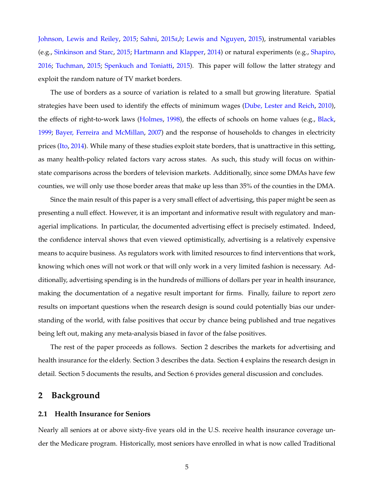[Johnson, Lewis and Reiley,](#page-26-9) [2015;](#page-26-9) [Sahni,](#page-27-3) [2015](#page-27-3)*a*,*[b](#page-27-4)*; [Lewis and Nguyen,](#page-26-11) [2015\)](#page-26-11), instrumental variables (e.g., [Sinkinson and Starc,](#page-27-5) [2015;](#page-27-5) [Hartmann and Klapper,](#page-26-12) [2014\)](#page-26-12) or natural experiments (e.g., [Shapiro,](#page-27-0) [2016;](#page-27-0) [Tuchman,](#page-27-6) [2015;](#page-27-6) [Spenkuch and Toniatti,](#page-27-7) [2015\)](#page-27-7). This paper will follow the latter strategy and exploit the random nature of TV market borders.

The use of borders as a source of variation is related to a small but growing literature. Spatial strategies have been used to identify the effects of minimum wages [\(Dube, Lester and Reich,](#page-26-13) [2010\)](#page-26-13), the effects of right-to-work laws [\(Holmes,](#page-26-14) [1998\)](#page-26-14), the effects of schools on home values (e.g., [Black,](#page-26-15) [1999;](#page-26-15) [Bayer, Ferreira and McMillan,](#page-26-16) [2007\)](#page-26-16) and the response of households to changes in electricity prices [\(Ito,](#page-26-17) [2014\)](#page-26-17). While many of these studies exploit state borders, that is unattractive in this setting, as many health-policy related factors vary across states. As such, this study will focus on withinstate comparisons across the borders of television markets. Additionally, since some DMAs have few counties, we will only use those border areas that make up less than 35% of the counties in the DMA.

Since the main result of this paper is a very small effect of advertising, this paper might be seen as presenting a null effect. However, it is an important and informative result with regulatory and managerial implications. In particular, the documented advertising effect is precisely estimated. Indeed, the confidence interval shows that even viewed optimistically, advertising is a relatively expensive means to acquire business. As regulators work with limited resources to find interventions that work, knowing which ones will not work or that will only work in a very limited fashion is necessary. Additionally, advertising spending is in the hundreds of millions of dollars per year in health insurance, making the documentation of a negative result important for firms. Finally, failure to report zero results on important questions when the research design is sound could potentially bias our understanding of the world, with false positives that occur by chance being published and true negatives being left out, making any meta-analysis biased in favor of the false positives.

The rest of the paper proceeds as follows. Section 2 describes the markets for advertising and health insurance for the elderly. Section 3 describes the data. Section 4 explains the research design in detail. Section 5 documents the results, and Section 6 provides general discussion and concludes.

## **2 Background**

#### **2.1 Health Insurance for Seniors**

Nearly all seniors at or above sixty-five years old in the U.S. receive health insurance coverage under the Medicare program. Historically, most seniors have enrolled in what is now called Traditional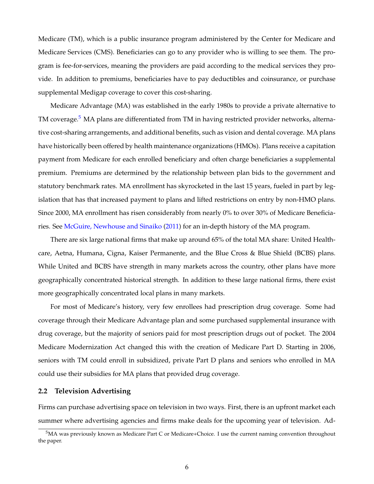Medicare (TM), which is a public insurance program administered by the Center for Medicare and Medicare Services (CMS). Beneficiaries can go to any provider who is willing to see them. The program is fee-for-services, meaning the providers are paid according to the medical services they provide. In addition to premiums, beneficiaries have to pay deductibles and coinsurance, or purchase supplemental Medigap coverage to cover this cost-sharing.

Medicare Advantage (MA) was established in the early 1980s to provide a private alternative to TM coverage.<sup>[5](#page-6-0)</sup> MA plans are differentiated from TM in having restricted provider networks, alternative cost-sharing arrangements, and additional benefits, such as vision and dental coverage. MA plans have historically been offered by health maintenance organizations (HMOs). Plans receive a capitation payment from Medicare for each enrolled beneficiary and often charge beneficiaries a supplemental premium. Premiums are determined by the relationship between plan bids to the government and statutory benchmark rates. MA enrollment has skyrocketed in the last 15 years, fueled in part by legislation that has that increased payment to plans and lifted restrictions on entry by non-HMO plans. Since 2000, MA enrollment has risen considerably from nearly 0% to over 30% of Medicare Beneficiaries. See [McGuire, Newhouse and Sinaiko](#page-27-8) [\(2011\)](#page-27-8) for an in-depth history of the MA program.

There are six large national firms that make up around 65% of the total MA share: United Healthcare, Aetna, Humana, Cigna, Kaiser Permanente, and the Blue Cross & Blue Shield (BCBS) plans. While United and BCBS have strength in many markets across the country, other plans have more geographically concentrated historical strength. In addition to these large national firms, there exist more geographically concentrated local plans in many markets.

For most of Medicare's history, very few enrollees had prescription drug coverage. Some had coverage through their Medicare Advantage plan and some purchased supplemental insurance with drug coverage, but the majority of seniors paid for most prescription drugs out of pocket. The 2004 Medicare Modernization Act changed this with the creation of Medicare Part D. Starting in 2006, seniors with TM could enroll in subsidized, private Part D plans and seniors who enrolled in MA could use their subsidies for MA plans that provided drug coverage.

#### **2.2 Television Advertising**

Firms can purchase advertising space on television in two ways. First, there is an upfront market each summer where advertising agencies and firms make deals for the upcoming year of television. Ad-

<span id="page-6-0"></span><sup>5</sup>MA was previously known as Medicare Part C or Medicare+Choice. I use the current naming convention throughout the paper.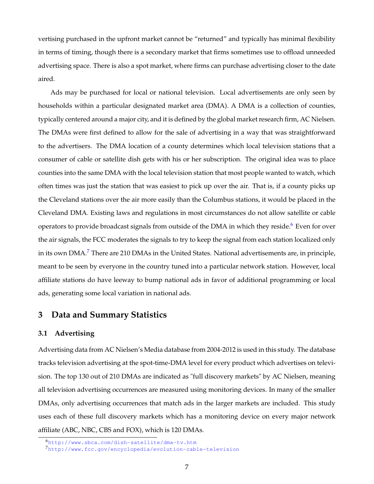vertising purchased in the upfront market cannot be "returned" and typically has minimal flexibility in terms of timing, though there is a secondary market that firms sometimes use to offload unneeded advertising space. There is also a spot market, where firms can purchase advertising closer to the date aired.

Ads may be purchased for local or national television. Local advertisements are only seen by households within a particular designated market area (DMA). A DMA is a collection of counties, typically centered around a major city, and it is defined by the global market research firm, AC Nielsen. The DMAs were first defined to allow for the sale of advertising in a way that was straightforward to the advertisers. The DMA location of a county determines which local television stations that a consumer of cable or satellite dish gets with his or her subscription. The original idea was to place counties into the same DMA with the local television station that most people wanted to watch, which often times was just the station that was easiest to pick up over the air. That is, if a county picks up the Cleveland stations over the air more easily than the Columbus stations, it would be placed in the Cleveland DMA. Existing laws and regulations in most circumstances do not allow satellite or cable operators to provide broadcast signals from outside of the DMA in which they reside.<sup>[6](#page-7-0)</sup> Even for over the air signals, the FCC moderates the signals to try to keep the signal from each station localized only in its own DMA.[7](#page-7-1) There are 210 DMAs in the United States. National advertisements are, in principle, meant to be seen by everyone in the country tuned into a particular network station. However, local affiliate stations do have leeway to bump national ads in favor of additional programming or local ads, generating some local variation in national ads.

## **3 Data and Summary Statistics**

#### **3.1 Advertising**

Advertising data from AC Nielsen's Media database from 2004-2012 is used in this study. The database tracks television advertising at the spot-time-DMA level for every product which advertises on television. The top 130 out of 210 DMAs are indicated as "full discovery markets" by AC Nielsen, meaning all television advertising occurrences are measured using monitoring devices. In many of the smaller DMAs, only advertising occurrences that match ads in the larger markets are included. This study uses each of these full discovery markets which has a monitoring device on every major network affiliate (ABC, NBC, CBS and FOX), which is 120 DMAs.

<span id="page-7-0"></span><sup>6</sup><http://www.sbca.com/dish-satellite/dma-tv.htm>

<span id="page-7-1"></span><sup>7</sup><http://www.fcc.gov/encyclopedia/evolution-cable-television>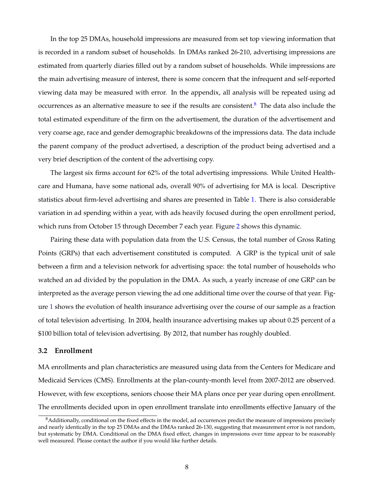In the top 25 DMAs, household impressions are measured from set top viewing information that is recorded in a random subset of households. In DMAs ranked 26-210, advertising impressions are estimated from quarterly diaries filled out by a random subset of households. While impressions are the main advertising measure of interest, there is some concern that the infrequent and self-reported viewing data may be measured with error. In the appendix, all analysis will be repeated using ad occurrences as an alternative measure to see if the results are consistent.<sup>[8](#page-8-0)</sup> The data also include the total estimated expenditure of the firm on the advertisement, the duration of the advertisement and very coarse age, race and gender demographic breakdowns of the impressions data. The data include the parent company of the product advertised, a description of the product being advertised and a very brief description of the content of the advertising copy.

The largest six firms account for 62% of the total advertising impressions. While United Healthcare and Humana, have some national ads, overall 90% of advertising for MA is local. Descriptive statistics about firm-level advertising and shares are presented in Table [1.](#page-28-0) There is also considerable variation in ad spending within a year, with ads heavily focused during the open enrollment period, which runs from October 15 through December 7 each year. Figure [2](#page-33-0) shows this dynamic.

Pairing these data with population data from the U.S. Census, the total number of Gross Rating Points (GRPs) that each advertisement constituted is computed. A GRP is the typical unit of sale between a firm and a television network for advertising space: the total number of households who watched an ad divided by the population in the DMA. As such, a yearly increase of one GRP can be interpreted as the average person viewing the ad one additional time over the course of that year. Figure [1](#page-33-1) shows the evolution of health insurance advertising over the course of our sample as a fraction of total television advertising. In 2004, health insurance advertising makes up about 0.25 percent of a \$100 billion total of television advertising. By 2012, that number has roughly doubled.

#### **3.2 Enrollment**

MA enrollments and plan characteristics are measured using data from the Centers for Medicare and Medicaid Services (CMS). Enrollments at the plan-county-month level from 2007-2012 are observed. However, with few exceptions, seniors choose their MA plans once per year during open enrollment. The enrollments decided upon in open enrollment translate into enrollments effective January of the

<span id="page-8-0"></span><sup>&</sup>lt;sup>8</sup>Additionally, conditional on the fixed effects in the model, ad occurrences predict the measure of impressions precisely and nearly identically in the top 25 DMAs and the DMAs ranked 26-130, suggesting that measurement error is not random, but systematic by DMA. Conditional on the DMA fixed effect, changes in impressions over time appear to be reasonably well measured. Please contact the author if you would like further details.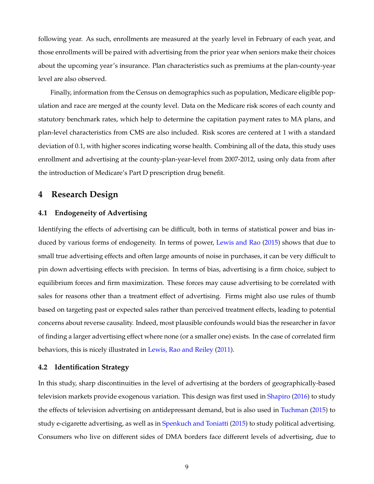following year. As such, enrollments are measured at the yearly level in February of each year, and those enrollments will be paired with advertising from the prior year when seniors make their choices about the upcoming year's insurance. Plan characteristics such as premiums at the plan-county-year level are also observed.

Finally, information from the Census on demographics such as population, Medicare eligible population and race are merged at the county level. Data on the Medicare risk scores of each county and statutory benchmark rates, which help to determine the capitation payment rates to MA plans, and plan-level characteristics from CMS are also included. Risk scores are centered at 1 with a standard deviation of 0.1, with higher scores indicating worse health. Combining all of the data, this study uses enrollment and advertising at the county-plan-year-level from 2007-2012, using only data from after the introduction of Medicare's Part D prescription drug benefit.

## **4 Research Design**

### **4.1 Endogeneity of Advertising**

Identifying the effects of advertising can be difficult, both in terms of statistical power and bias induced by various forms of endogeneity. In terms of power, [Lewis and Rao](#page-26-1) [\(2015\)](#page-26-1) shows that due to small true advertising effects and often large amounts of noise in purchases, it can be very difficult to pin down advertising effects with precision. In terms of bias, advertising is a firm choice, subject to equilibrium forces and firm maximization. These forces may cause advertising to be correlated with sales for reasons other than a treatment effect of advertising. Firms might also use rules of thumb based on targeting past or expected sales rather than perceived treatment effects, leading to potential concerns about reverse causality. Indeed, most plausible confounds would bias the researcher in favor of finding a larger advertising effect where none (or a smaller one) exists. In the case of correlated firm behaviors, this is nicely illustrated in [Lewis, Rao and Reiley](#page-26-18) [\(2011\)](#page-26-18).

#### **4.2 Identification Strategy**

In this study, sharp discontinuities in the level of advertising at the borders of geographically-based television markets provide exogenous variation. This design was first used in [Shapiro](#page-27-0) [\(2016\)](#page-27-0) to study the effects of television advertising on antidepressant demand, but is also used in [Tuchman](#page-27-6) [\(2015\)](#page-27-6) to study e-cigarette advertising, as well as in [Spenkuch and Toniatti](#page-27-7) [\(2015\)](#page-27-7) to study political advertising. Consumers who live on different sides of DMA borders face different levels of advertising, due to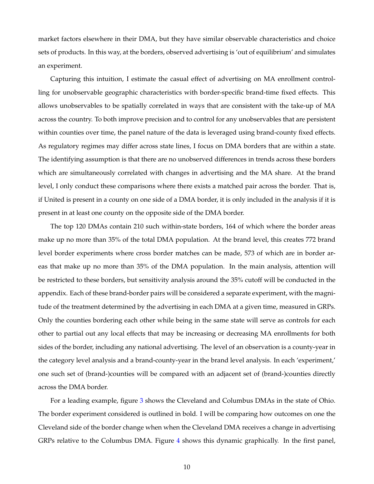market factors elsewhere in their DMA, but they have similar observable characteristics and choice sets of products. In this way, at the borders, observed advertising is 'out of equilibrium' and simulates an experiment.

Capturing this intuition, I estimate the casual effect of advertising on MA enrollment controlling for unobservable geographic characteristics with border-specific brand-time fixed effects. This allows unobservables to be spatially correlated in ways that are consistent with the take-up of MA across the country. To both improve precision and to control for any unobservables that are persistent within counties over time, the panel nature of the data is leveraged using brand-county fixed effects. As regulatory regimes may differ across state lines, I focus on DMA borders that are within a state. The identifying assumption is that there are no unobserved differences in trends across these borders which are simultaneously correlated with changes in advertising and the MA share. At the brand level, I only conduct these comparisons where there exists a matched pair across the border. That is, if United is present in a county on one side of a DMA border, it is only included in the analysis if it is present in at least one county on the opposite side of the DMA border.

The top 120 DMAs contain 210 such within-state borders, 164 of which where the border areas make up no more than 35% of the total DMA population. At the brand level, this creates 772 brand level border experiments where cross border matches can be made, 573 of which are in border areas that make up no more than 35% of the DMA population. In the main analysis, attention will be restricted to these borders, but sensitivity analysis around the 35% cutoff will be conducted in the appendix. Each of these brand-border pairs will be considered a separate experiment, with the magnitude of the treatment determined by the advertising in each DMA at a given time, measured in GRPs. Only the counties bordering each other while being in the same state will serve as controls for each other to partial out any local effects that may be increasing or decreasing MA enrollments for both sides of the border, including any national advertising. The level of an observation is a county-year in the category level analysis and a brand-county-year in the brand level analysis. In each 'experiment,' one such set of (brand-)counties will be compared with an adjacent set of (brand-)counties directly across the DMA border.

For a leading example, figure [3](#page-33-2) shows the Cleveland and Columbus DMAs in the state of Ohio. The border experiment considered is outlined in bold. I will be comparing how outcomes on one the Cleveland side of the border change when when the Cleveland DMA receives a change in advertising GRPs relative to the Columbus DMA. Figure [4](#page-34-0) shows this dynamic graphically. In the first panel,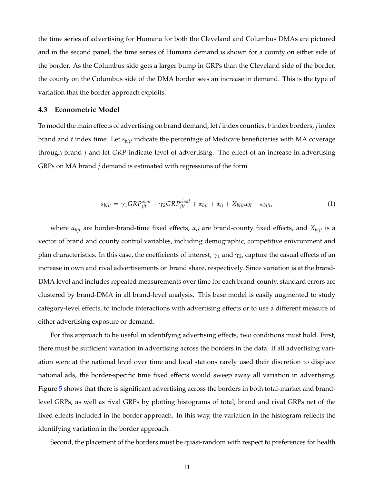the time series of advertising for Humana for both the Cleveland and Columbus DMAs are pictured and in the second panel, the time series of Humana demand is shown for a county on either side of the border. As the Columbus side gets a larger bump in GRPs than the Cleveland side of the border, the county on the Columbus side of the DMA border sees an increase in demand. This is the type of variation that the border approach exploits.

#### **4.3 Econometric Model**

To model the main effects of advertising on brand demand, let *i* index counties, *b* index borders, *j* index brand and *t* index time. Let *sbijt* indicate the percentage of Medicare beneficiaries with MA coverage through brand *j* and let *GRP* indicate level of advertising. The effect of an increase in advertising GRPs on MA brand *j* demand is estimated with regressions of the form

<span id="page-11-0"></span>
$$
s_{bijt} = \gamma_1 GRP_{jit}^{own} + \gamma_2 GRP_{jit}^{rival} + \alpha_{bjt} + \alpha_{ij} + X_{bijt}\alpha_X + \epsilon_{bijt},
$$
\n(1)

where *αbjt* are border-brand-time fixed effects, *αij* are brand-county fixed effects, and *Xbijt* is a vector of brand and county control variables, including demographic, competitive enivronment and plan characteristics. In this case, the coefficients of interest, *γ*<sup>1</sup> and *γ*2, capture the casual effects of an increase in own and rival advertisements on brand share, respectively. Since variation is at the brand-DMA level and includes repeated measurements over time for each brand-county, standard errors are clustered by brand-DMA in all brand-level analysis. This base model is easily augmented to study category-level effects, to include interactions with advertising effects or to use a different measure of either advertising exposure or demand.

For this approach to be useful in identifying advertising effects, two conditions must hold. First, there must be sufficient variation in advertising across the borders in the data. If all advertising variation were at the national level over time and local stations rarely used their discretion to displace national ads, the border-specific time fixed effects would sweep away all variation in advertising. Figure [5](#page-35-0) shows that there is significant advertising across the borders in both total-market and brandlevel GRPs, as well as rival GRPs by plotting histograms of total, brand and rival GRPs net of the fixed effects included in the border approach. In this way, the variation in the histogram reflects the identifying variation in the border approach.

Second, the placement of the borders must be quasi-random with respect to preferences for health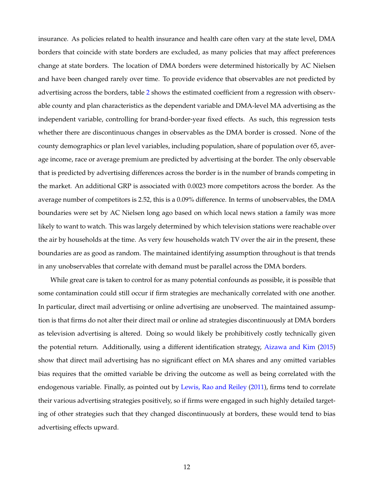insurance. As policies related to health insurance and health care often vary at the state level, DMA borders that coincide with state borders are excluded, as many policies that may affect preferences change at state borders. The location of DMA borders were determined historically by AC Nielsen and have been changed rarely over time. To provide evidence that observables are not predicted by advertising across the borders, table [2](#page-28-1) shows the estimated coefficient from a regression with observable county and plan characteristics as the dependent variable and DMA-level MA advertising as the independent variable, controlling for brand-border-year fixed effects. As such, this regression tests whether there are discontinuous changes in observables as the DMA border is crossed. None of the county demographics or plan level variables, including population, share of population over 65, average income, race or average premium are predicted by advertising at the border. The only observable that is predicted by advertising differences across the border is in the number of brands competing in the market. An additional GRP is associated with 0.0023 more competitors across the border. As the average number of competitors is 2.52, this is a 0.09% difference. In terms of unobservables, the DMA boundaries were set by AC Nielsen long ago based on which local news station a family was more likely to want to watch. This was largely determined by which television stations were reachable over the air by households at the time. As very few households watch TV over the air in the present, these boundaries are as good as random. The maintained identifying assumption throughout is that trends in any unobservables that correlate with demand must be parallel across the DMA borders.

While great care is taken to control for as many potential confounds as possible, it is possible that some contamination could still occur if firm strategies are mechanically correlated with one another. In particular, direct mail advertising or online advertising are unobserved. The maintained assumption is that firms do not alter their direct mail or online ad strategies discontinuously at DMA borders as television advertising is altered. Doing so would likely be prohibitively costly technically given the potential return. Additionally, using a different identification strategy, [Aizawa and Kim](#page-25-0) [\(2015\)](#page-25-0) show that direct mail advertising has no significant effect on MA shares and any omitted variables bias requires that the omitted variable be driving the outcome as well as being correlated with the endogenous variable. Finally, as pointed out by [Lewis, Rao and Reiley](#page-26-18) [\(2011\)](#page-26-18), firms tend to correlate their various advertising strategies positively, so if firms were engaged in such highly detailed targeting of other strategies such that they changed discontinuously at borders, these would tend to bias advertising effects upward.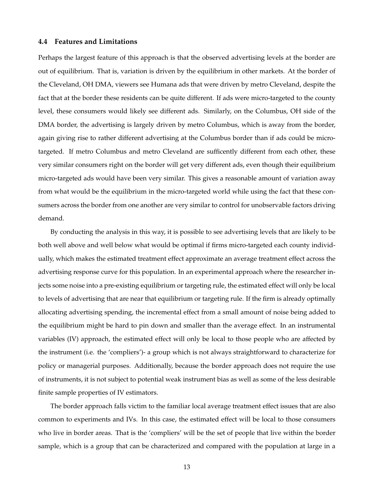#### **4.4 Features and Limitations**

Perhaps the largest feature of this approach is that the observed advertising levels at the border are out of equilibrium. That is, variation is driven by the equilibrium in other markets. At the border of the Cleveland, OH DMA, viewers see Humana ads that were driven by metro Cleveland, despite the fact that at the border these residents can be quite different. If ads were micro-targeted to the county level, these consumers would likely see different ads. Similarly, on the Columbus, OH side of the DMA border, the advertising is largely driven by metro Columbus, which is away from the border, again giving rise to rather different advertising at the Columbus border than if ads could be microtargeted. If metro Columbus and metro Cleveland are sufficently different from each other, these very similar consumers right on the border will get very different ads, even though their equilibrium micro-targeted ads would have been very similar. This gives a reasonable amount of variation away from what would be the equilibrium in the micro-targeted world while using the fact that these consumers across the border from one another are very similar to control for unobservable factors driving demand.

By conducting the analysis in this way, it is possible to see advertising levels that are likely to be both well above and well below what would be optimal if firms micro-targeted each county individually, which makes the estimated treatment effect approximate an average treatment effect across the advertising response curve for this population. In an experimental approach where the researcher injects some noise into a pre-existing equilibrium or targeting rule, the estimated effect will only be local to levels of advertising that are near that equilibrium or targeting rule. If the firm is already optimally allocating advertising spending, the incremental effect from a small amount of noise being added to the equilibrium might be hard to pin down and smaller than the average effect. In an instrumental variables (IV) approach, the estimated effect will only be local to those people who are affected by the instrument (i.e. the 'compliers')- a group which is not always straightforward to characterize for policy or managerial purposes. Additionally, because the border approach does not require the use of instruments, it is not subject to potential weak instrument bias as well as some of the less desirable finite sample properties of IV estimators.

The border approach falls victim to the familiar local average treatment effect issues that are also common to experiments and IVs. In this case, the estimated effect will be local to those consumers who live in border areas. That is the 'compliers' will be the set of people that live within the border sample, which is a group that can be characterized and compared with the population at large in a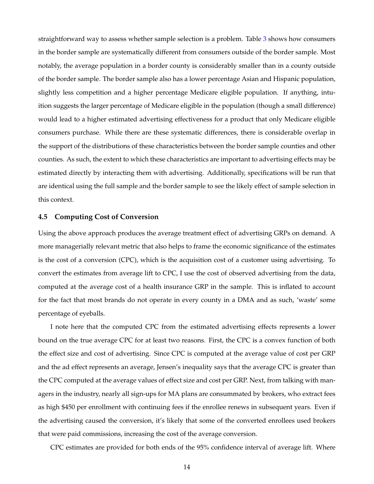straightforward way to assess whether sample selection is a problem. Table [3](#page-29-0) shows how consumers in the border sample are systematically different from consumers outside of the border sample. Most notably, the average population in a border county is considerably smaller than in a county outside of the border sample. The border sample also has a lower percentage Asian and Hispanic population, slightly less competition and a higher percentage Medicare eligible population. If anything, intuition suggests the larger percentage of Medicare eligible in the population (though a small difference) would lead to a higher estimated advertising effectiveness for a product that only Medicare eligible consumers purchase. While there are these systematic differences, there is considerable overlap in the support of the distributions of these characteristics between the border sample counties and other counties. As such, the extent to which these characteristics are important to advertising effects may be estimated directly by interacting them with advertising. Additionally, specifications will be run that are identical using the full sample and the border sample to see the likely effect of sample selection in this context.

#### **4.5 Computing Cost of Conversion**

Using the above approach produces the average treatment effect of advertising GRPs on demand. A more managerially relevant metric that also helps to frame the economic significance of the estimates is the cost of a conversion (CPC), which is the acquisition cost of a customer using advertising. To convert the estimates from average lift to CPC, I use the cost of observed advertising from the data, computed at the average cost of a health insurance GRP in the sample. This is inflated to account for the fact that most brands do not operate in every county in a DMA and as such, 'waste' some percentage of eyeballs.

I note here that the computed CPC from the estimated advertising effects represents a lower bound on the true average CPC for at least two reasons. First, the CPC is a convex function of both the effect size and cost of advertising. Since CPC is computed at the average value of cost per GRP and the ad effect represents an average, Jensen's inequality says that the average CPC is greater than the CPC computed at the average values of effect size and cost per GRP. Next, from talking with managers in the industry, nearly all sign-ups for MA plans are consummated by brokers, who extract fees as high \$450 per enrollment with continuing fees if the enrollee renews in subsequent years. Even if the advertising caused the conversion, it's likely that some of the converted enrollees used brokers that were paid commissions, increasing the cost of the average conversion.

CPC estimates are provided for both ends of the 95% confidence interval of average lift. Where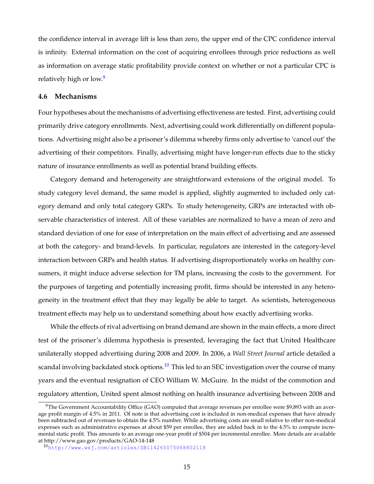the confidence interval in average lift is less than zero, the upper end of the CPC confidence interval is infinity. External information on the cost of acquiring enrollees through price reductions as well as information on average static profitability provide context on whether or not a particular CPC is relatively high or low.<sup>[9](#page-15-0)</sup>

#### **4.6 Mechanisms**

Four hypotheses about the mechanisms of advertising effectiveness are tested. First, advertising could primarily drive category enrollments. Next, advertising could work differentially on different populations. Advertising might also be a prisoner's dilemma whereby firms only advertise to 'cancel out' the advertising of their competitors. Finally, advertising might have longer-run effects due to the sticky nature of insurance enrollments as well as potential brand building effects.

Category demand and heterogeneity are straightforward extensions of the original model. To study category level demand, the same model is applied, slightly augmented to included only category demand and only total category GRPs. To study heterogeneity, GRPs are interacted with observable characteristics of interest. All of these variables are normalized to have a mean of zero and standard deviation of one for ease of interpretation on the main effect of advertising and are assessed at both the category- and brand-levels. In particular, regulators are interested in the category-level interaction between GRPs and health status. If advertising disproportionately works on healthy consumers, it might induce adverse selection for TM plans, increasing the costs to the government. For the purposes of targeting and potentially increasing profit, firms should be interested in any heterogeneity in the treatment effect that they may legally be able to target. As scientists, heterogeneous treatment effects may help us to understand something about how exactly advertising works.

While the effects of rival advertising on brand demand are shown in the main effects, a more direct test of the prisoner's dilemma hypothesis is presented, leveraging the fact that United Healthcare unilaterally stopped advertising during 2008 and 2009. In 2006, a *Wall Street Journal* article detailed a scandal involving backdated stock options.<sup>[10](#page-15-1)</sup> This led to an SEC investigation over the course of many years and the eventual resignation of CEO William W. McGuire. In the midst of the commotion and regulatory attention, United spent almost nothing on health insurance advertising between 2008 and

<span id="page-15-0"></span><sup>9</sup>The Government Accountability Office (GAO) computed that average revenues per enrollee were \$9,893 with an average profit margin of 4.5% in 2011. Of note is that advertising cost is included in non-medical expenses that have already been subtracted out of revenues to obtain the 4.5% number. While advertising costs are small relative to other non-medical expenses such as administrative expenses at about \$59 per enrollee, they are added back in to the 4.5% to compute incremental static profit. This amounts to an average one-year profit of \$504 per incremental enrollee. More details are available at http://www.gao.gov/products/GAO-14-148

<span id="page-15-1"></span><sup>10</sup><http://www.wsj.com/articles/SB114265075068802118>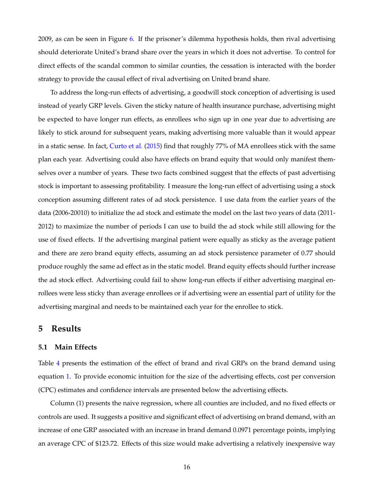2009, as can be seen in Figure [6.](#page-36-0) If the prisoner's dilemma hypothesis holds, then rival advertising should deteriorate United's brand share over the years in which it does not advertise. To control for direct effects of the scandal common to similar counties, the cessation is interacted with the border strategy to provide the causal effect of rival advertising on United brand share.

To address the long-run effects of advertising, a goodwill stock conception of advertising is used instead of yearly GRP levels. Given the sticky nature of health insurance purchase, advertising might be expected to have longer run effects, as enrollees who sign up in one year due to advertising are likely to stick around for subsequent years, making advertising more valuable than it would appear in a static sense. In fact, [Curto et al.](#page-26-5) [\(2015\)](#page-26-5) find that roughly 77% of MA enrollees stick with the same plan each year. Advertising could also have effects on brand equity that would only manifest themselves over a number of years. These two facts combined suggest that the effects of past advertising stock is important to assessing profitability. I measure the long-run effect of advertising using a stock conception assuming different rates of ad stock persistence. I use data from the earlier years of the data (2006-20010) to initialize the ad stock and estimate the model on the last two years of data (2011- 2012) to maximize the number of periods I can use to build the ad stock while still allowing for the use of fixed effects. If the advertising marginal patient were equally as sticky as the average patient and there are zero brand equity effects, assuming an ad stock persistence parameter of 0.77 should produce roughly the same ad effect as in the static model. Brand equity effects should further increase the ad stock effect. Advertising could fail to show long-run effects if either advertising marginal enrollees were less sticky than average enrollees or if advertising were an essential part of utility for the advertising marginal and needs to be maintained each year for the enrollee to stick.

## **5 Results**

#### **5.1 Main Effects**

Table [4](#page-29-1) presents the estimation of the effect of brand and rival GRPs on the brand demand using equation [1.](#page-11-0) To provide economic intuition for the size of the advertising effects, cost per conversion (CPC) estimates and confidence intervals are presented below the advertising effects.

Column (1) presents the naive regression, where all counties are included, and no fixed effects or controls are used. It suggests a positive and significant effect of advertising on brand demand, with an increase of one GRP associated with an increase in brand demand 0.0971 percentage points, implying an average CPC of \$123.72. Effects of this size would make advertising a relatively inexpensive way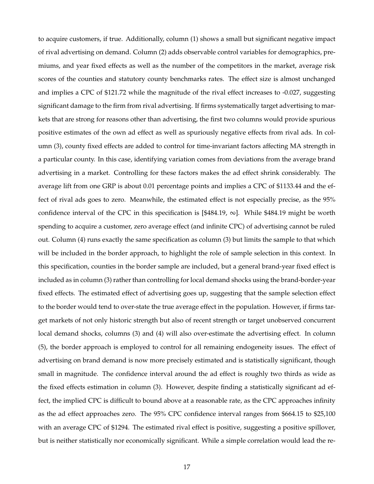to acquire customers, if true. Additionally, column (1) shows a small but significant negative impact of rival advertising on demand. Column (2) adds observable control variables for demographics, premiums, and year fixed effects as well as the number of the competitors in the market, average risk scores of the counties and statutory county benchmarks rates. The effect size is almost unchanged and implies a CPC of \$121.72 while the magnitude of the rival effect increases to -0.027, suggesting significant damage to the firm from rival advertising. If firms systematically target advertising to markets that are strong for reasons other than advertising, the first two columns would provide spurious positive estimates of the own ad effect as well as spuriously negative effects from rival ads. In column (3), county fixed effects are added to control for time-invariant factors affecting MA strength in a particular county. In this case, identifying variation comes from deviations from the average brand advertising in a market. Controlling for these factors makes the ad effect shrink considerably. The average lift from one GRP is about 0.01 percentage points and implies a CPC of \$1133.44 and the effect of rival ads goes to zero. Meanwhile, the estimated effect is not especially precise, as the 95% confidence interval of the CPC in this specification is [\$484.19,  $\infty$ ]. While \$484.19 might be worth spending to acquire a customer, zero average effect (and infinite CPC) of advertising cannot be ruled out. Column (4) runs exactly the same specification as column (3) but limits the sample to that which will be included in the border approach, to highlight the role of sample selection in this context. In this specification, counties in the border sample are included, but a general brand-year fixed effect is included as in column (3) rather than controlling for local demand shocks using the brand-border-year fixed effects. The estimated effect of advertising goes up, suggesting that the sample selection effect to the border would tend to over-state the true average effect in the population. However, if firms target markets of not only historic strength but also of recent strength or target unobserved concurrent local demand shocks, columns (3) and (4) will also over-estimate the advertising effect. In column (5), the border approach is employed to control for all remaining endogeneity issues. The effect of advertising on brand demand is now more precisely estimated and is statistically significant, though small in magnitude. The confidence interval around the ad effect is roughly two thirds as wide as the fixed effects estimation in column (3). However, despite finding a statistically significant ad effect, the implied CPC is difficult to bound above at a reasonable rate, as the CPC approaches infinity as the ad effect approaches zero. The 95% CPC confidence interval ranges from \$664.15 to \$25,100 with an average CPC of \$1294. The estimated rival effect is positive, suggesting a positive spillover, but is neither statistically nor economically significant. While a simple correlation would lead the re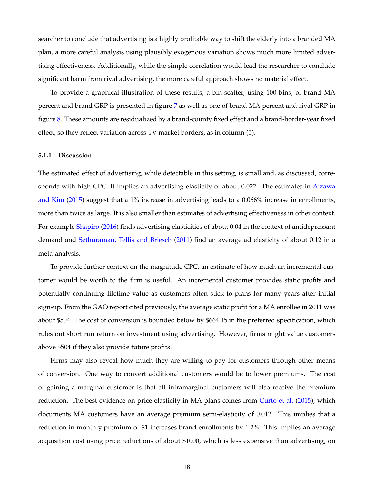searcher to conclude that advertising is a highly profitable way to shift the elderly into a branded MA plan, a more careful analysis using plausibly exogenous variation shows much more limited advertising effectiveness. Additionally, while the simple correlation would lead the researcher to conclude significant harm from rival advertising, the more careful approach shows no material effect.

To provide a graphical illustration of these results, a bin scatter, using 100 bins, of brand MA percent and brand GRP is presented in figure [7](#page-36-1) as well as one of brand MA percent and rival GRP in figure [8.](#page-36-2) These amounts are residualized by a brand-county fixed effect and a brand-border-year fixed effect, so they reflect variation across TV market borders, as in column (5).

#### **5.1.1 Discussion**

The estimated effect of advertising, while detectable in this setting, is small and, as discussed, corresponds with high CPC. It implies an advertising elasticity of about 0.027. The estimates in [Aizawa](#page-25-0) [and Kim](#page-25-0) [\(2015\)](#page-25-0) suggest that a 1% increase in advertising leads to a 0.066% increase in enrollments, more than twice as large. It is also smaller than estimates of advertising effectiveness in other context. For example [Shapiro](#page-27-0) [\(2016\)](#page-27-0) finds advertising elasticities of about 0.04 in the context of antidepressant demand and [Sethuraman, Tellis and Briesch](#page-27-9) [\(2011\)](#page-27-9) find an average ad elasticity of about 0.12 in a meta-analysis.

To provide further context on the magnitude CPC, an estimate of how much an incremental customer would be worth to the firm is useful. An incremental customer provides static profits and potentially continuing lifetime value as customers often stick to plans for many years after initial sign-up. From the GAO report cited previously, the average static profit for a MA enrollee in 2011 was about \$504. The cost of conversion is bounded below by \$664.15 in the preferred specification, which rules out short run return on investment using advertising. However, firms might value customers above \$504 if they also provide future profits.

Firms may also reveal how much they are willing to pay for customers through other means of conversion. One way to convert additional customers would be to lower premiums. The cost of gaining a marginal customer is that all inframarginal customers will also receive the premium reduction. The best evidence on price elasticity in MA plans comes from [Curto et al.](#page-26-5) [\(2015\)](#page-26-5), which documents MA customers have an average premium semi-elasticity of 0.012. This implies that a reduction in monthly premium of \$1 increases brand enrollments by 1.2%. This implies an average acquisition cost using price reductions of about \$1000, which is less expensive than advertising, on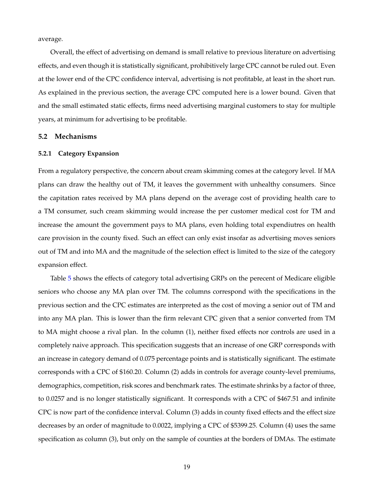average.

Overall, the effect of advertising on demand is small relative to previous literature on advertising effects, and even though it is statistically significant, prohibitively large CPC cannot be ruled out. Even at the lower end of the CPC confidence interval, advertising is not profitable, at least in the short run. As explained in the previous section, the average CPC computed here is a lower bound. Given that and the small estimated static effects, firms need advertising marginal customers to stay for multiple years, at minimum for advertising to be profitable.

#### **5.2 Mechanisms**

#### **5.2.1 Category Expansion**

From a regulatory perspective, the concern about cream skimming comes at the category level. If MA plans can draw the healthy out of TM, it leaves the government with unhealthy consumers. Since the capitation rates received by MA plans depend on the average cost of providing health care to a TM consumer, such cream skimming would increase the per customer medical cost for TM and increase the amount the government pays to MA plans, even holding total expendiutres on health care provision in the county fixed. Such an effect can only exist insofar as advertising moves seniors out of TM and into MA and the magnitude of the selection effect is limited to the size of the category expansion effect.

Table [5](#page-30-0) shows the effects of category total advertising GRPs on the perecent of Medicare eligible seniors who choose any MA plan over TM. The columns correspond with the specifications in the previous section and the CPC estimates are interpreted as the cost of moving a senior out of TM and into any MA plan. This is lower than the firm relevant CPC given that a senior converted from TM to MA might choose a rival plan. In the column (1), neither fixed effects nor controls are used in a completely naive approach. This specification suggests that an increase of one GRP corresponds with an increase in category demand of 0.075 percentage points and is statistically significant. The estimate corresponds with a CPC of \$160.20. Column (2) adds in controls for average county-level premiums, demographics, competition, risk scores and benchmark rates. The estimate shrinks by a factor of three, to 0.0257 and is no longer statistically significant. It corresponds with a CPC of \$467.51 and infinite CPC is now part of the confidence interval. Column (3) adds in county fixed effects and the effect size decreases by an order of magnitude to 0.0022, implying a CPC of \$5399.25. Column (4) uses the same specification as column (3), but only on the sample of counties at the borders of DMAs. The estimate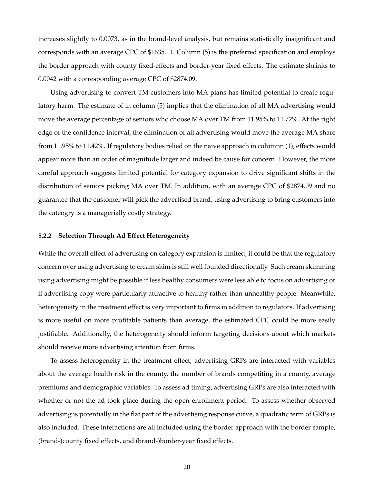increases slightly to 0.0073, as in the brand-level analysis, but remains statistically insignificant and corresponds with an average CPC of \$1635.11. Column (5) is the preferred specification and employs the border approach with county fixed-effects and border-year fixed effects. The estimate shrinks to 0.0042 with a corresponding average CPC of \$2874.09.

Using advertising to convert TM customers into MA plans has limited potential to create regulatory harm. The estimate of in column (5) implies that the elimination of all MA advertising would move the average percentage of seniors who choose MA over TM from 11.95% to 11.72%. At the right edge of the confidence interval, the elimination of all advertising would move the average MA share from 11.95% to 11.42%. If regulatory bodies relied on the naive approach in columnn (1), effects would appear more than an order of magnitude larger and indeed be cause for concern. However, the more careful approach suggests limited potential for category expansion to drive significant shifts in the distribution of seniors picking MA over TM. In addition, with an average CPC of \$2874.09 and no guarantee that the customer will pick the advertised brand, using advertising to bring customers into the cateogry is a managerially costly strategy.

#### **5.2.2 Selection Through Ad Effect Heterogeneity**

While the overall effect of advertising on category expansion is limited, it could be that the regulatory concern over using advertising to cream skim is still well founded directionally. Such cream skimming using advertising might be possible if less healthy consumers were less able to focus on advertising or if advertising copy were particularly attractive to healthy rather than unhealthy people. Meanwhile, heterogeneity in the treatment effect is very important to firms in addition to regulators. If advertising is more useful on more profitable patients than average, the estimated CPC could be more easily justifiable. Additionally, the heterogeneity should inform targeting decisions about which markets should receive more advertising attention from firms.

To assess heterogeneity in the treatment effect, advertising GRPs are interacted with variables about the average health risk in the county, the number of brands competiting in a county, average premiums and demographic variables. To assess ad timing, advertising GRPs are also interacted with whether or not the ad took place during the open enrollment period. To assess whether observed advertising is potentially in the flat part of the advertising response curve, a quadratic term of GRPs is also included. These interactions are all included using the border approach with the border sample, (brand-)county fixed effects, and (brand-)border-year fixed effects.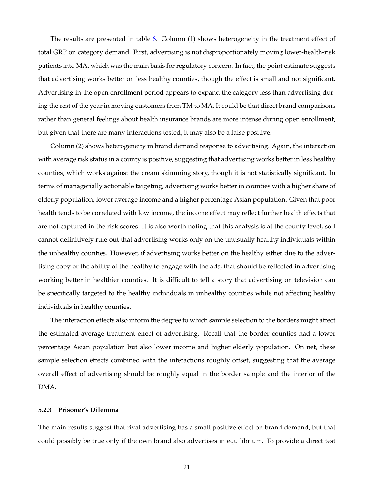The results are presented in table [6.](#page-31-0) Column (1) shows heterogeneity in the treatment effect of total GRP on category demand. First, advertising is not disproportionately moving lower-health-risk patients into MA, which was the main basis for regulatory concern. In fact, the point estimate suggests that advertising works better on less healthy counties, though the effect is small and not significant. Advertising in the open enrollment period appears to expand the category less than advertising during the rest of the year in moving customers from TM to MA. It could be that direct brand comparisons rather than general feelings about health insurance brands are more intense during open enrollment, but given that there are many interactions tested, it may also be a false positive.

Column (2) shows heterogeneity in brand demand response to advertising. Again, the interaction with average risk status in a county is positive, suggesting that advertising works better in less healthy counties, which works against the cream skimming story, though it is not statistically significant. In terms of managerially actionable targeting, advertising works better in counties with a higher share of elderly population, lower average income and a higher percentage Asian population. Given that poor health tends to be correlated with low income, the income effect may reflect further health effects that are not captured in the risk scores. It is also worth noting that this analysis is at the county level, so I cannot definitively rule out that advertising works only on the unusually healthy individuals within the unhealthy counties. However, if advertising works better on the healthy either due to the advertising copy or the ability of the healthy to engage with the ads, that should be reflected in advertising working better in healthier counties. It is difficult to tell a story that advertising on television can be specifically targeted to the healthy individuals in unhealthy counties while not affecting healthy individuals in healthy counties.

The interaction effects also inform the degree to which sample selection to the borders might affect the estimated average treatment effect of advertising. Recall that the border counties had a lower percentage Asian population but also lower income and higher elderly population. On net, these sample selection effects combined with the interactions roughly offset, suggesting that the average overall effect of advertising should be roughly equal in the border sample and the interior of the DMA.

#### **5.2.3 Prisoner's Dilemma**

The main results suggest that rival advertising has a small positive effect on brand demand, but that could possibly be true only if the own brand also advertises in equilibrium. To provide a direct test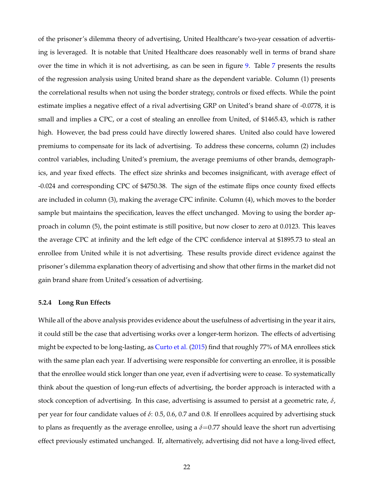of the prisoner's dilemma theory of advertising, United Healthcare's two-year cessation of advertising is leveraged. It is notable that United Healthcare does reasonably well in terms of brand share over the time in which it is not advertising, as can be seen in figure [9.](#page-37-0) Table [7](#page-32-0) presents the results of the regression analysis using United brand share as the dependent variable. Column (1) presents the correlational results when not using the border strategy, controls or fixed effects. While the point estimate implies a negative effect of a rival advertising GRP on United's brand share of -0.0778, it is small and implies a CPC, or a cost of stealing an enrollee from United, of \$1465.43, which is rather high. However, the bad press could have directly lowered shares. United also could have lowered premiums to compensate for its lack of advertising. To address these concerns, column (2) includes control variables, including United's premium, the average premiums of other brands, demographics, and year fixed effects. The effect size shrinks and becomes insignificant, with average effect of -0.024 and corresponding CPC of \$4750.38. The sign of the estimate flips once county fixed effects are included in column (3), making the average CPC infinite. Column (4), which moves to the border sample but maintains the specification, leaves the effect unchanged. Moving to using the border approach in column (5), the point estimate is still positive, but now closer to zero at 0.0123. This leaves the average CPC at infinity and the left edge of the CPC confidence interval at \$1895.73 to steal an enrollee from United while it is not advertising. These results provide direct evidence against the prisoner's dilemma explanation theory of advertising and show that other firms in the market did not gain brand share from United's cessation of advertising.

#### **5.2.4 Long Run Effects**

While all of the above analysis provides evidence about the usefulness of advertising in the year it airs, it could still be the case that advertising works over a longer-term horizon. The effects of advertising might be expected to be long-lasting, as [Curto et al.](#page-26-5) [\(2015\)](#page-26-5) find that roughly 77% of MA enrollees stick with the same plan each year. If advertising were responsible for converting an enrollee, it is possible that the enrollee would stick longer than one year, even if advertising were to cease. To systematically think about the question of long-run effects of advertising, the border approach is interacted with a stock conception of advertising. In this case, advertising is assumed to persist at a geometric rate,  $\delta$ , per year for four candidate values of *δ*: 0.5, 0.6, 0.7 and 0.8. If enrollees acquired by advertising stuck to plans as frequently as the average enrollee, using a  $\delta$ =0.77 should leave the short run advertising effect previously estimated unchanged. If, alternatively, advertising did not have a long-lived effect,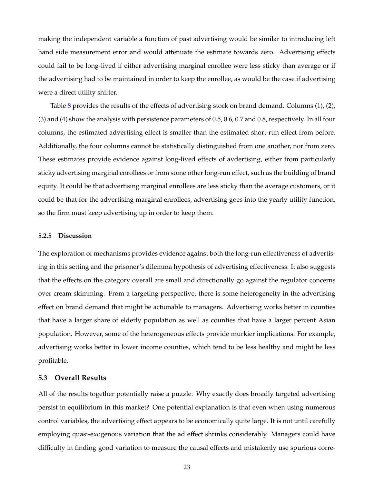making the independent variable a function of past advertising would be similar to introducing left hand side measurement error and would attenuate the estimate towards zero. Advertising effects could fail to be long-lived if either advertising marginal enrollee were less sticky than average or if the advertising had to be maintained in order to keep the enrollee, as would be the case if advertising were a direct utility shifter.

Table [8](#page-32-1) provides the results of the effects of advertising stock on brand demand. Columns (1), (2), (3) and (4) show the analysis with persistence parameters of 0.5, 0.6, 0.7 and 0.8, respectively. In all four columns, the estimated advertising effect is smaller than the estimated short-run effect from before. Additionally, the four columns cannot be statistically distinguished from one another, nor from zero. These estimates provide evidence against long-lived effects of avdertising, either from particularly sticky advertising marginal enrollees or from some other long-run effect, such as the building of brand equity. It could be that advertising marginal enrollees are less sticky than the average customers, or it could be that for the advertising marginal enrollees, advertising goes into the yearly utility function, so the firm must keep advertising up in order to keep them.

#### **5.2.5 Discussion**

The exploration of mechanisms provides evidence against both the long-run effectiveness of advertising in this setting and the prisoner's dilemma hypothesis of advertising effectiveness. It also suggests that the effects on the category overall are small and directionally go against the regulator concerns over cream skimming. From a targeting perspective, there is some heterogeneity in the advertising effect on brand demand that might be actionable to managers. Advertising works better in counties that have a larger share of elderly population as well as counties that have a larger percent Asian population. However, some of the heterogeneous effects provide murkier implications. For example, advertising works better in lower income counties, which tend to be less healthy and might be less profitable.

#### **5.3 Overall Results**

All of the results together potentially raise a puzzle. Why exactly does broadly targeted advertising persist in equilibrium in this market? One potential explanation is that even when using numerous control variables, the advertising effect appears to be economically quite large. It is not until carefully employing quasi-exogenous variation that the ad effect shrinks considerably. Managers could have difficulty in finding good variation to measure the causal effects and mistakenly use spurious corre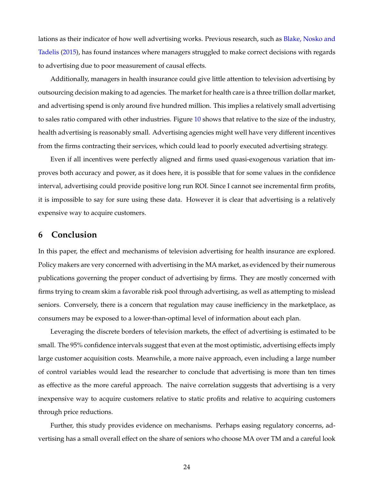lations as their indicator of how well advertising works. Previous research, such as [Blake, Nosko and](#page-26-2) [Tadelis](#page-26-2) [\(2015\)](#page-26-2), has found instances where managers struggled to make correct decisions with regards to advertising due to poor measurement of causal effects.

Additionally, managers in health insurance could give little attention to television advertising by outsourcing decision making to ad agencies. The market for health care is a three trillion dollar market, and advertising spend is only around five hundred million. This implies a relatively small advertising to sales ratio compared with other industries. Figure [10](#page-37-1) shows that relative to the size of the industry, health advertising is reasonably small. Advertising agencies might well have very different incentives from the firms contracting their services, which could lead to poorly executed advertising strategy.

Even if all incentives were perfectly aligned and firms used quasi-exogenous variation that improves both accuracy and power, as it does here, it is possible that for some values in the confidence interval, advertising could provide positive long run ROI. Since I cannot see incremental firm profits, it is impossible to say for sure using these data. However it is clear that advertising is a relatively expensive way to acquire customers.

## **6 Conclusion**

In this paper, the effect and mechanisms of television advertising for health insurance are explored. Policy makers are very concerned with advertising in the MA market, as evidenced by their numerous publications governing the proper conduct of advertising by firms. They are mostly concerned with firms trying to cream skim a favorable risk pool through advertising, as well as attempting to mislead seniors. Conversely, there is a concern that regulation may cause inefficiency in the marketplace, as consumers may be exposed to a lower-than-optimal level of information about each plan.

Leveraging the discrete borders of television markets, the effect of advertising is estimated to be small. The 95% confidence intervals suggest that even at the most optimistic, advertising effects imply large customer acquisition costs. Meanwhile, a more naive approach, even including a large number of control variables would lead the researcher to conclude that advertising is more than ten times as effective as the more careful approach. The naive correlation suggests that advertising is a very inexpensive way to acquire customers relative to static profits and relative to acquiring customers through price reductions.

Further, this study provides evidence on mechanisms. Perhaps easing regulatory concerns, advertising has a small overall effect on the share of seniors who choose MA over TM and a careful look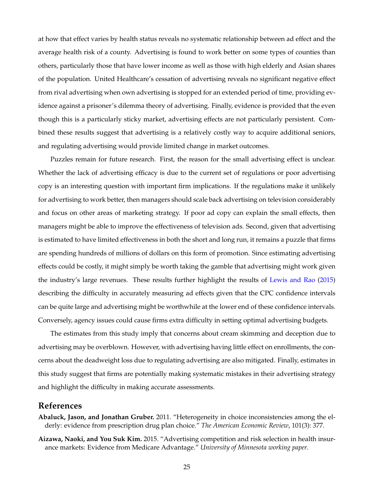at how that effect varies by health status reveals no systematic relationship between ad effect and the average health risk of a county. Advertising is found to work better on some types of counties than others, particularly those that have lower income as well as those with high elderly and Asian shares of the population. United Healthcare's cessation of advertising reveals no significant negative effect from rival advertising when own advertising is stopped for an extended period of time, providing evidence against a prisoner's dilemma theory of advertising. Finally, evidence is provided that the even though this is a particularly sticky market, advertising effects are not particularly persistent. Combined these results suggest that advertising is a relatively costly way to acquire additional seniors, and regulating advertising would provide limited change in market outcomes.

Puzzles remain for future research. First, the reason for the small advertising effect is unclear. Whether the lack of advertising efficacy is due to the current set of regulations or poor advertising copy is an interesting question with important firm implications. If the regulations make it unlikely for advertising to work better, then managers should scale back advertising on television considerably and focus on other areas of marketing strategy. If poor ad copy can explain the small effects, then managers might be able to improve the effectiveness of television ads. Second, given that advertising is estimated to have limited effectiveness in both the short and long run, it remains a puzzle that firms are spending hundreds of millions of dollars on this form of promotion. Since estimating advertising effects could be costly, it might simply be worth taking the gamble that advertising might work given the industry's large revenues. These results further highlight the results of [Lewis and Rao](#page-26-1) [\(2015\)](#page-26-1) describing the difficulty in accurately measuring ad effects given that the CPC confidence intervals can be quite large and advertising might be worthwhile at the lower end of these confidence intervals. Conversely, agency issues could cause firms extra difficulty in setting optimal advertising budgets.

The estimates from this study imply that concerns about cream skimming and deception due to advertising may be overblown. However, with advertising having little effect on enrollments, the concerns about the deadweight loss due to regulating advertising are also mitigated. Finally, estimates in this study suggest that firms are potentially making systematic mistakes in their advertising strategy and highlight the difficulty in making accurate assessments.

### **References**

- <span id="page-25-1"></span>**Abaluck, Jason, and Jonathan Gruber.** 2011. "Heterogeneity in choice inconsistencies among the elderly: evidence from prescription drug plan choice." *The American Economic Review*, 101(3): 377.
- <span id="page-25-0"></span>**Aizawa, Naoki, and You Suk Kim.** 2015. "Advertising competition and risk selection in health insurance markets: Evidence from Medicare Advantage." *University of Minnesota working paper*.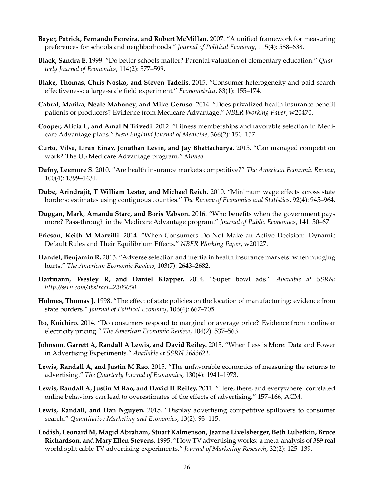- <span id="page-26-16"></span>**Bayer, Patrick, Fernando Ferreira, and Robert McMillan.** 2007. "A unified framework for measuring preferences for schools and neighborhoods." *Journal of Political Economy*, 115(4): 588–638.
- <span id="page-26-15"></span>**Black, Sandra E.** 1999. "Do better schools matter? Parental valuation of elementary education." *Quarterly Journal of Economics*, 114(2): 577–599.
- <span id="page-26-2"></span>**Blake, Thomas, Chris Nosko, and Steven Tadelis.** 2015. "Consumer heterogeneity and paid search effectiveness: a large-scale field experiment." *Econometrica*, 83(1): 155–174.
- <span id="page-26-6"></span>**Cabral, Marika, Neale Mahoney, and Mike Geruso.** 2014. "Does privatized health insurance benefit patients or producers? Evidence from Medicare Advantage." *NBER Working Paper*, w20470.
- <span id="page-26-8"></span>**Cooper, Alicia L, and Amal N Trivedi.** 2012. "Fitness memberships and favorable selection in Medicare Advantage plans." *New England Journal of Medicine*, 366(2): 150–157.
- <span id="page-26-5"></span>**Curto, Vilsa, Liran Einav, Jonathan Levin, and Jay Bhattacharya.** 2015. "Can managed competition work? The US Medicare Advantage program." *Mimeo*.
- <span id="page-26-4"></span>**Dafny, Leemore S.** 2010. "Are health insurance markets competitive?" *The American Economic Review*, 100(4): 1399–1431.
- <span id="page-26-13"></span>**Dube, Arindrajit, T William Lester, and Michael Reich.** 2010. "Minimum wage effects across state borders: estimates using contiguous counties." *The Review of Economics and Statistics*, 92(4): 945–964.
- <span id="page-26-3"></span>**Duggan, Mark, Amanda Starc, and Boris Vabson.** 2016. "Who benefits when the government pays more? Pass-through in the Medicare Advantage program." *Journal of Public Economics*, 141: 50–67.
- <span id="page-26-7"></span>**Ericson, Keith M Marzilli.** 2014. "When Consumers Do Not Make an Active Decision: Dynamic Default Rules and Their Equilibrium Effects." *NBER Working Paper*, w20127.
- <span id="page-26-0"></span>**Handel, Benjamin R.** 2013. "Adverse selection and inertia in health insurance markets: when nudging hurts." *The American Economic Review*, 103(7): 2643–2682.
- <span id="page-26-12"></span>**Hartmann, Wesley R, and Daniel Klapper.** 2014. "Super bowl ads." *Available at SSRN: http://ssrn.com/abstract=2385058*.
- <span id="page-26-14"></span>**Holmes, Thomas J.** 1998. "The effect of state policies on the location of manufacturing: evidence from state borders." *Journal of Political Economy*, 106(4): 667–705.
- <span id="page-26-17"></span>**Ito, Koichiro.** 2014. "Do consumers respond to marginal or average price? Evidence from nonlinear electricity pricing." *The American Economic Review*, 104(2): 537–563.
- <span id="page-26-9"></span>**Johnson, Garrett A, Randall A Lewis, and David Reiley.** 2015. "When Less is More: Data and Power in Advertising Experiments." *Available at SSRN 2683621*.
- <span id="page-26-1"></span>**Lewis, Randall A, and Justin M Rao.** 2015. "The unfavorable economics of measuring the returns to advertising." *The Quarterly Journal of Economics*, 130(4): 1941–1973.
- <span id="page-26-18"></span>**Lewis, Randall A, Justin M Rao, and David H Reiley.** 2011. "Here, there, and everywhere: correlated online behaviors can lead to overestimates of the effects of advertising." 157–166, ACM.
- <span id="page-26-11"></span>**Lewis, Randall, and Dan Nguyen.** 2015. "Display advertising competitive spillovers to consumer search." *Quantitative Marketing and Economics*, 13(2): 93–115.
- <span id="page-26-10"></span>**Lodish, Leonard M, Magid Abraham, Stuart Kalmenson, Jeanne Livelsberger, Beth Lubetkin, Bruce Richardson, and Mary Ellen Stevens.** 1995. "How TV advertising works: a meta-analysis of 389 real world split cable TV advertising experiments." *Journal of Marketing Research*, 32(2): 125–139.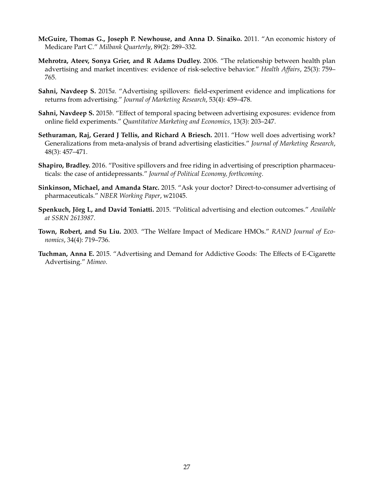- <span id="page-27-8"></span>**McGuire, Thomas G., Joseph P. Newhouse, and Anna D. Sinaiko.** 2011. "An economic history of Medicare Part C." *Milbank Quarterly*, 89(2): 289–332.
- <span id="page-27-1"></span>**Mehrotra, Ateev, Sonya Grier, and R Adams Dudley.** 2006. "The relationship between health plan advertising and market incentives: evidence of risk-selective behavior." *Health Affairs*, 25(3): 759– 765.
- <span id="page-27-3"></span>**Sahni, Navdeep S.** 2015*a*. "Advertising spillovers: field-experiment evidence and implications for returns from advertising." *Journal of Marketing Research*, 53(4): 459–478.
- <span id="page-27-4"></span>**Sahni, Navdeep S.** 2015*b*. "Effect of temporal spacing between advertising exposures: evidence from online field experiments." *Quantitative Marketing and Economics*, 13(3): 203–247.
- <span id="page-27-9"></span>**Sethuraman, Raj, Gerard J Tellis, and Richard A Briesch.** 2011. "How well does advertising work? Generalizations from meta-analysis of brand advertising elasticities." *Journal of Marketing Research*, 48(3): 457–471.
- <span id="page-27-0"></span>**Shapiro, Bradley.** 2016. "Positive spillovers and free riding in advertising of prescription pharmaceuticals: the case of antidepressants." *Journal of Political Economy, forthcoming*.
- <span id="page-27-5"></span>**Sinkinson, Michael, and Amanda Starc.** 2015. "Ask your doctor? Direct-to-consumer advertising of pharmaceuticals." *NBER Working Paper*, w21045.
- <span id="page-27-7"></span>**Spenkuch, Jörg L, and David Toniatti.** 2015. "Political advertising and election outcomes." *Available at SSRN 2613987*.
- <span id="page-27-2"></span>**Town, Robert, and Su Liu.** 2003. "The Welfare Impact of Medicare HMOs." *RAND Journal of Economics*, 34(4): 719–736.
- <span id="page-27-6"></span>**Tuchman, Anna E.** 2015. "Advertising and Demand for Addictive Goods: The Effects of E-Cigarette Advertising." *Mimeo*.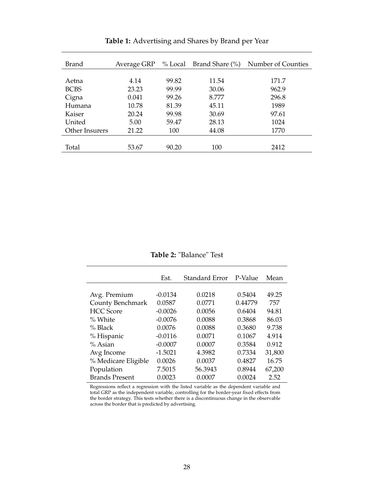<span id="page-28-0"></span>

|       |       |       | Number of Counties                  |
|-------|-------|-------|-------------------------------------|
|       |       |       |                                     |
| 4.14  | 99.82 | 11.54 | 171.7                               |
| 23.23 | 99.99 | 30.06 | 962.9                               |
| 0.041 | 99.26 | 8.777 | 296.8                               |
| 10.78 | 81.39 | 45.11 | 1989                                |
| 20.24 | 99.98 | 30.69 | 97.61                               |
| 5.00  | 59.47 | 28.13 | 1024                                |
| 21.22 | 100   | 44.08 | 1770                                |
|       |       |       |                                     |
| 53.67 | 90.20 | 100   | 2412                                |
|       |       |       | Average GRP % Local Brand Share (%) |

**Table 1:** Advertising and Shares by Brand per Year

**Table 2:** "Balance" Test

<span id="page-28-1"></span>

|                       | Est.      | Standard Error | P-Value | Mean   |
|-----------------------|-----------|----------------|---------|--------|
|                       |           |                |         |        |
| Avg. Premium          | $-0.0134$ | 0.0218         | 0.5404  | 49.25  |
| County Benchmark      | 0.0587    | 0.0771         | 0.44779 | 757    |
| <b>HCC</b> Score      | $-0.0026$ | 0.0056         | 0.6404  | 94.81  |
| % White               | $-0.0076$ | 0.0088         | 0.3868  | 86.03  |
| % Black               | 0.0076    | 0.0088         | 0.3680  | 9.738  |
| % Hispanic            | $-0.0116$ | 0.0071         | 0.1067  | 4.914  |
| $%$ Asian             | $-0.0007$ | 0.0007         | 0.3584  | 0.912  |
| Avg Income            | $-1.5021$ | 4.3982         | 0.7334  | 31,800 |
| % Medicare Eligible   | 0.0026    | 0.0037         | 0.4827  | 16.75  |
| Population            | 7.5015    | 56.3943        | 0.8944  | 67,200 |
| <b>Brands Present</b> | 0.0023    | 0.0007         | 0.0024  | 2.52   |

Regressions reflect a regression with the listed variable as the dependent variable and total GRP as the independent variable, controlling for the border-year fixed effects from the border strategy. This tests whether there is a discontinuous change in the observable across the border that is predicted by advertising.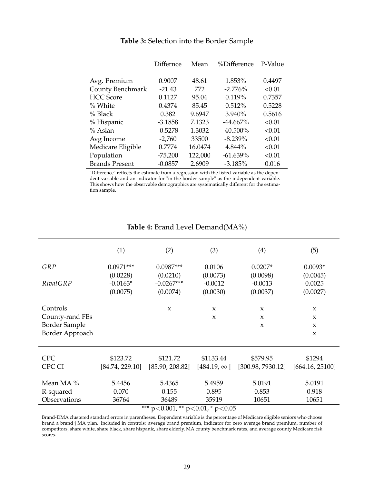<span id="page-29-0"></span>

|                       | Differnce | Mean    | %Difference | P-Value |
|-----------------------|-----------|---------|-------------|---------|
|                       |           |         |             |         |
| Avg. Premium          | 0.9007    | 48.61   | 1.853%      | 0.4497  |
| County Benchmark      | $-21.43$  | 772     | $-2.776%$   | < 0.01  |
| <b>HCC</b> Score      | 0.1127    | 95.04   | 0.119%      | 0.7357  |
| % White               | 0.4374    | 85.45   | 0.512%      | 0.5228  |
| % Black               | 0.382     | 9.6947  | $3.940\%$   | 0.5616  |
| % Hispanic            | $-3.1858$ | 7.1323  | $-44.667\%$ | < 0.01  |
| $%$ Asian             | $-0.5278$ | 1.3032  | $-40.500\%$ | < 0.01  |
| Avg Income            | $-2,760$  | 33500   | $-8.239%$   | < 0.01  |
| Medicare Eligible     | 0.7774    | 16.0474 | 4.844%      | < 0.01  |
| Population            | $-75,200$ | 122,000 | $-61.639%$  | < 0.01  |
| <b>Brands Present</b> | $-0.0857$ | 2.6909  | $-3.185%$   | 0.016   |

**Table 3:** Selection into the Border Sample

"Difference" reflects the estimate from a regression with the listed variable as the dependent variable and an indicator for "in the border sample" as the independent variable. This shows how the observable demographics are systematically different for the estimation sample.

<span id="page-29-1"></span>

|                                                | (1)                    | (2)                      | (3)                   | (4)                                 | (5)                          |  |
|------------------------------------------------|------------------------|--------------------------|-----------------------|-------------------------------------|------------------------------|--|
| GRP                                            | $0.0971***$            | $0.0987***$              | 0.0106                | $0.0207*$                           | $0.0093*$                    |  |
| <b>RivalGRP</b>                                | (0.0228)<br>$-0.0163*$ | (0.0210)<br>$-0.0267***$ | (0.0073)<br>$-0.0012$ | (0.0098)<br>$-0.0013$               | (0.0045)<br>0.0025           |  |
|                                                | (0.0075)               | (0.0074)                 | (0.0030)              | (0.0037)                            | (0.0027)                     |  |
| Controls                                       |                        | X                        | $\boldsymbol{\chi}$   | $\boldsymbol{\chi}$                 | $\mathbf{x}$                 |  |
| County-rand FEs<br><b>Border Sample</b>        |                        |                          | $\mathbf{x}$          | $\mathbf{x}$<br>$\boldsymbol{\chi}$ | $\mathbf{x}$<br>$\mathbf{x}$ |  |
| Border Approach                                |                        |                          |                       |                                     | $\boldsymbol{\chi}$          |  |
| <b>CPC</b>                                     | \$123.72               | \$121.72                 | \$1133.44             | \$579.95                            | \$1294                       |  |
| CPC CI                                         | [84.74, 229.10]        | [85.90, 208.82]          | $[484.19, \infty]$    | [300.98, 7930.12]                   | [664.16, 25100]              |  |
| Mean MA %                                      | 5.4456                 | 5.4365                   | 5.4959                | 5.0191                              | 5.0191                       |  |
| R-squared                                      | 0.070                  | 0.155                    | 0.895                 | 0.853                               | 0.918                        |  |
| Observations                                   | 36764                  | 36489                    | 35919                 | 10651                               | 10651                        |  |
| *** $p < 0.001$ , ** $p < 0.01$ , * $p < 0.05$ |                        |                          |                       |                                     |                              |  |

## **Table 4:** Brand Level Demand(MA%)

Brand-DMA clustered standard errors in parentheses. Dependent variable is the percentage of Medicare eligible seniors who choose brand a brand j MA plan. Included in controls: average brand premium, indicator for zero average brand premium, number of competitors, share white, share black, share hispanic, share elderly, MA county benchmark rates, and average county Medicare risk scores.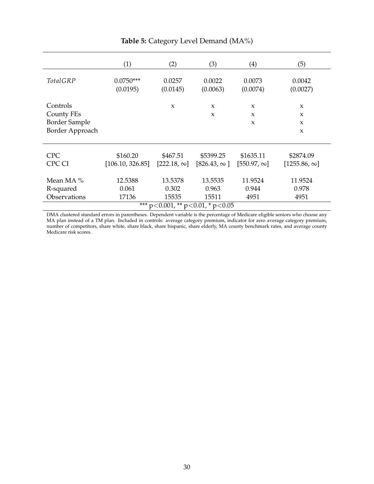<span id="page-30-0"></span>

|                                                            | (1)                                            | (2)                | (3)                                 | (4)                   | (5)                                                                        |  |  |  |
|------------------------------------------------------------|------------------------------------------------|--------------------|-------------------------------------|-----------------------|----------------------------------------------------------------------------|--|--|--|
| TotalGRP                                                   | $0.0750***$                                    | 0.0257             | 0.0022                              | 0.0073                | 0.0042                                                                     |  |  |  |
|                                                            | (0.0195)                                       | (0.0145)           | (0.0063)                            | (0.0074)              | (0.0027)                                                                   |  |  |  |
| Controls<br>County FEs<br>Border Sample<br>Border Approach |                                                | $\mathbf x$        | $\mathbf{x}$<br>$\boldsymbol{\chi}$ | $\mathbf x$<br>X<br>X | $\mathbf{x}$<br>$\mathbf{x}$<br>$\boldsymbol{\chi}$<br>$\boldsymbol{\chi}$ |  |  |  |
| <b>CPC</b>                                                 | \$160.20                                       | \$467.51           | \$5399.25                           | \$1635.11             | \$2874.09                                                                  |  |  |  |
| CPC CI                                                     | [106.10, 326.85]                               | $[222.18, \infty]$ | $[826.43, \infty]$                  | $[550.97, \infty]$    | $[1255.86, \infty]$                                                        |  |  |  |
| Mean MA %                                                  | 12.5388                                        | 13.5378            | 13.5535                             | 11.9524               | 11.9524                                                                    |  |  |  |
| R-squared                                                  | 0.061                                          | 0.302              | 0.963                               | 0.944                 | 0.978                                                                      |  |  |  |
| Observations                                               | 17136                                          | 15535              | 15511                               | 4951                  | 4951                                                                       |  |  |  |
|                                                            | *** $p < 0.001$ , ** $p < 0.01$ , * $p < 0.05$ |                    |                                     |                       |                                                                            |  |  |  |

## **Table 5:** Category Level Demand (MA%)

DMA clustered standard errors in parentheses. Dependent variable is the percentage of Medicare eligible seniors who choose any MA plan instead of a TM plan. Included in controls: average category premium, indicator for zero average category premium, number of competitors, share white, share black, share hispanic, share elderly, MA county benchmark rates, and average county Medicare risk scores.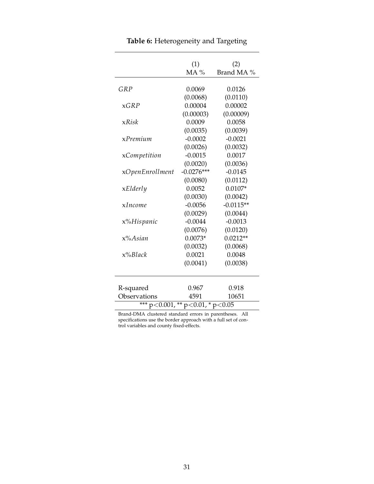<span id="page-31-0"></span>

|                                             | (1)          | (2)         |  |  |  |  |
|---------------------------------------------|--------------|-------------|--|--|--|--|
|                                             | MA %         | Brand MA %  |  |  |  |  |
|                                             |              |             |  |  |  |  |
| GRP                                         | 0.0069       | 0.0126      |  |  |  |  |
|                                             | (0.0068)     | (0.0110)    |  |  |  |  |
| xGRP                                        | 0.00004      | 0.00002     |  |  |  |  |
|                                             | (0.00003)    | (0.00009)   |  |  |  |  |
| xRisk                                       | 0.0009       | 0.0058      |  |  |  |  |
|                                             | (0.0035)     | (0.0039)    |  |  |  |  |
| $x$ Premium                                 | $-0.0002$    | $-0.0021$   |  |  |  |  |
|                                             | (0.0026)     | (0.0032)    |  |  |  |  |
| xCompetition                                | $-0.0015$    | 0.0017      |  |  |  |  |
|                                             | (0.0020)     | (0.0036)    |  |  |  |  |
| xOpenEnrollment                             | $-0.0276***$ | $-0.0145$   |  |  |  |  |
|                                             | (0.0080)     | (0.0112)    |  |  |  |  |
| xElderly                                    | 0.0052       | $0.0107*$   |  |  |  |  |
|                                             | (0.0030)     | (0.0042)    |  |  |  |  |
| xIncome                                     | $-0.0056$    | $-0.0115**$ |  |  |  |  |
|                                             | (0.0029)     | (0.0044)    |  |  |  |  |
| x%Hispanic                                  | $-0.0044$    | $-0.0013$   |  |  |  |  |
|                                             | (0.0076)     | (0.0120)    |  |  |  |  |
| $x\%$ Asian                                 | $0.0073*$    | $0.0212**$  |  |  |  |  |
|                                             | (0.0032)     | (0.0068)    |  |  |  |  |
| $x\%$ Black                                 | 0.0021       | 0.0048      |  |  |  |  |
|                                             | (0.0041)     | (0.0038)    |  |  |  |  |
|                                             |              |             |  |  |  |  |
|                                             |              |             |  |  |  |  |
| R-squared                                   | 0.967        | 0.918       |  |  |  |  |
| Observations                                | 4591         | 10651       |  |  |  |  |
| ***<br>$p<0.001$ , ** $p<0.01$ , * $p<0.05$ |              |             |  |  |  |  |

**Table 6:** Heterogeneity and Targeting

Brand-DMA clustered standard errors in parentheses. All specifications use the border approach with a full set of control variables and county fixed-effects.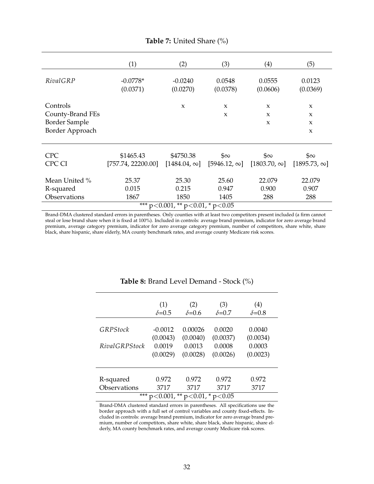<span id="page-32-0"></span>

|                      | (1)                | (2)                                            | (3)                 | (4)                 | (5)                 |
|----------------------|--------------------|------------------------------------------------|---------------------|---------------------|---------------------|
| RivalGRP             | $-0.0778*$         | $-0.0240$                                      | 0.0548              | 0.0555              | 0.0123              |
|                      | (0.0371)           | (0.0270)                                       | (0.0378)            | (0.0606)            | (0.0369)            |
| Controls             |                    | $\boldsymbol{\mathsf{X}}$                      | $\mathbf{x}$        | X                   | $\boldsymbol{\chi}$ |
| County-Brand FEs     |                    |                                                | $\boldsymbol{\chi}$ | $\boldsymbol{\chi}$ | $\boldsymbol{\chi}$ |
| <b>Border Sample</b> |                    |                                                |                     | $\boldsymbol{\chi}$ | $\boldsymbol{\chi}$ |
| Border Approach      |                    |                                                |                     |                     | $\boldsymbol{\chi}$ |
| <b>CPC</b>           | \$1465.43          | \$4750.38                                      | $\$\infty$          | $\$\infty$          | $\$\infty$          |
| CPC CI               | [757.74, 22200.00] | $[1484.04, \infty]$                            | $[5946.12, \infty]$ | $[1803.70, \infty]$ | $[1895.73, \infty]$ |
| Mean United %        | 25.37              | 25.30                                          | 25.60               | 22.079              | 22.079              |
| R-squared            | 0.015              | 0.215                                          | 0.947               | 0.900               | 0.907               |
| Observations         | 1867               | 1850                                           | 1405                | 288                 | 288                 |
|                      |                    | *** $p < 0.001$ , ** $p < 0.01$ , * $p < 0.05$ |                     |                     |                     |

**Table 7:** United Share (%)

Brand-DMA clustered standard errors in parentheses. Only counties with at least two competitors present included (a firm cannot steal or lose brand share when it is fixed at 100%). Included in controls: average brand premium, indicator for zero average brand premium, average category premium, indicator for zero average category premium, number of competitors, share white, share black, share hispanic, share elderly, MA county benchmark rates, and average county Medicare risk scores.

<span id="page-32-1"></span>

|               | (1)<br>$\delta = 0.5$ | (2)<br>$\delta = 0.6$    | (3)<br>$\delta = 0.7$ | (4)<br>$\delta = 0.8$ |
|---------------|-----------------------|--------------------------|-----------------------|-----------------------|
| GRPStock      | $-0.0012$             | 0.00026                  | 0.0020                | 0.0040                |
| RivalGRPStock | (0.0043)<br>0.0019    | (0.0040)<br>0.0013       | (0.0037)<br>0.0008    | (0.0034)<br>0.0003    |
|               | (0.0029)              | (0.0028)                 | (0.0026)              | (0.0023)              |
| R-squared     | 0.972                 | 0.972                    | 0.972                 | 0.972                 |
| Observations  | 3717                  | 3717                     | 3717                  | 3717                  |
|               |                       | ** $p<0.01$ , * $p<0.05$ |                       |                       |

#### **Table 8:** Brand Level Demand - Stock (%)

Brand-DMA clustered standard errors in parentheses. All specifications use the border approach with a full set of control variables and county fixed-effects. Included in controls: average brand premium, indicator for zero average brand premium, number of competitors, share white, share black, share hispanic, share elderly, MA county benchmark rates, and average county Medicare risk scores.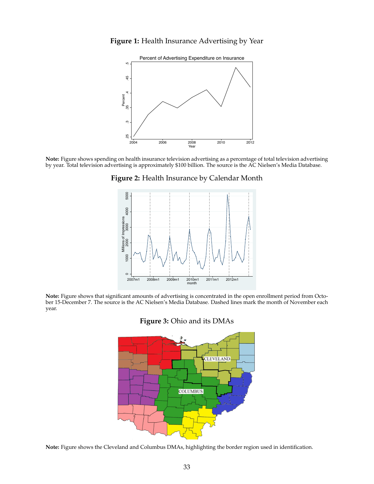

<span id="page-33-1"></span>**Figure 1:** Health Insurance Advertising by Year

<span id="page-33-0"></span>**Note:** Figure shows spending on health insurance television advertising as a percentage of total television advertising by year. Total television advertising is approximately \$100 billion. The source is the AC Nielsen's Media Database.

**Figure 2:** Health Insurance by Calendar Month



<span id="page-33-2"></span>**Note:** Figure shows that significant amounts of advertising is concentrated in the open enrollment period from October 15-December 7. The source is the AC Nielsen's Media Database. Dashed lines mark the month of November each year.





**Note:** Figure shows the Cleveland and Columbus DMAs, highlighting the border region used in identification.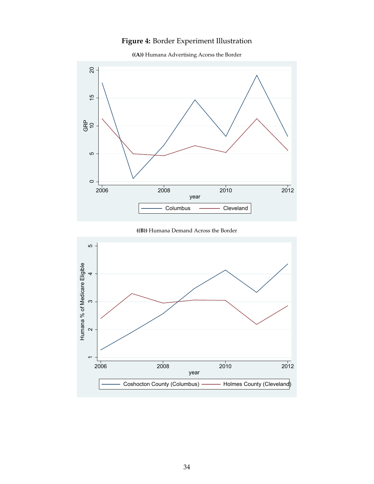# **Figure 4:** Border Experiment Illustration

<span id="page-34-0"></span>

**((A))** Humana Advertising Acorss the Border

**((B))** Humana Demand Across the Border

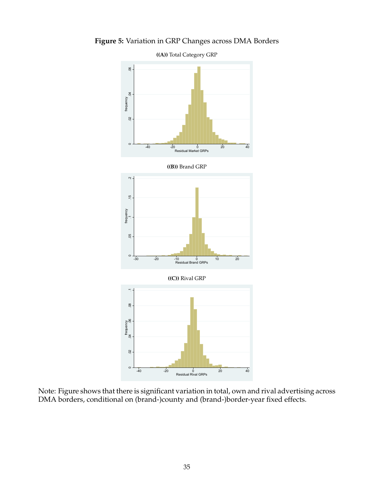

<span id="page-35-0"></span>**Figure 5:** Variation in GRP Changes across DMA Borders

Note: Figure shows that there is significant variation in total, own and rival advertising across DMA borders, conditional on (brand-)county and (brand-)border-year fixed effects.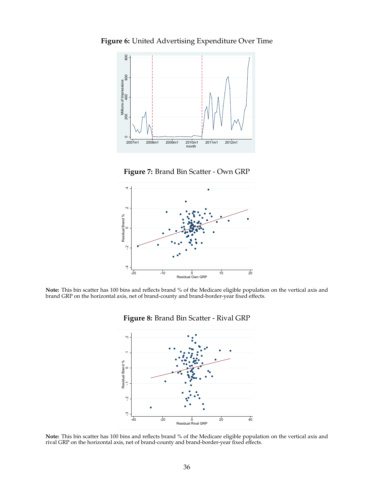<span id="page-36-0"></span>**Figure 6:** United Advertising Expenditure Over Time



**Figure 7:** Brand Bin Scatter - Own GRP

<span id="page-36-1"></span>

<span id="page-36-2"></span>**Note:** This bin scatter has 100 bins and reflects brand % of the Medicare eligible population on the vertical axis and brand GRP on the horizontal axis, net of brand-county and brand-border-year fixed effects.



**Figure 8:** Brand Bin Scatter - Rival GRP

**Note:** This bin scatter has 100 bins and reflects brand % of the Medicare eligible population on the vertical axis and rival GRP on the horizontal axis, net of brand-county and brand-border-year fixed effects.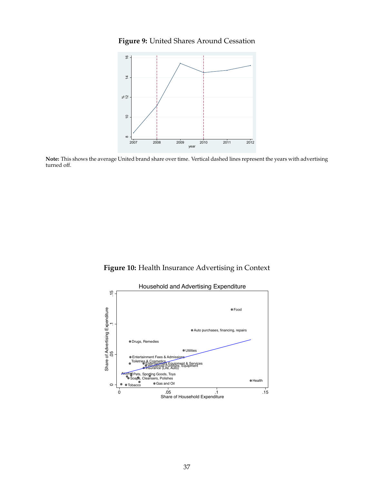**Figure 9:** United Shares Around Cessation

<span id="page-37-0"></span>

**Note:** This shows the average United brand share over time. Vertical dashed lines represent the years with advertising turned off.

**Figure 10:** Health Insurance Advertising in Context

<span id="page-37-1"></span>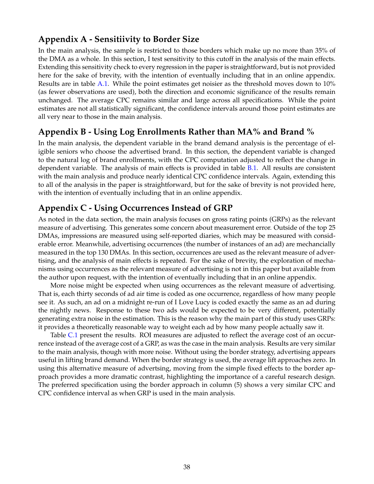# **Appendix A - Sensitiivity to Border Size**

In the main analysis, the sample is restricted to those borders which make up no more than 35% of the DMA as a whole. In this section, I test sensitivity to this cutoff in the analysis of the main effects. Extending this sensitivity check to every regression in the paper is straightforward, but is not provided here for the sake of brevity, with the intention of eventually including that in an online appendix. Results are in table [A.1.](#page-39-0) While the point estimates get noisier as the threshold moves down to 10% (as fewer observations are used), both the direction and economic significance of the results remain unchanged. The average CPC remains similar and large across all specifications. While the point estimates are not all statistically significant, the confidence intervals around those point estimates are all very near to those in the main analysis.

## **Appendix B - Using Log Enrollments Rather than MA% and Brand %**

In the main analysis, the dependent variable in the brand demand analysis is the percentage of eligible seniors who choose the advertised brand. In this section, the dependent variable is changed to the natural log of brand enrollments, with the CPC computation adjusted to reflect the change in dependent variable. The analysis of main effects is provided in table [B.1.](#page-39-1) All results are consistent with the main analysis and produce nearly identical CPC confidence intervals. Again, extending this to all of the analysis in the paper is straightforward, but for the sake of brevity is not provided here, with the intention of eventually including that in an online appendix.

# **Appendix C - Using Occurrences Instead of GRP**

As noted in the data section, the main analysis focuses on gross rating points (GRPs) as the relevant measure of advertising. This generates some concern about measurement error. Outside of the top 25 DMAs, impressions are measured using self-reported diaries, which may be measured with considerable error. Meanwhile, advertising occurrences (the number of instances of an ad) are mechancially measured in the top 130 DMAs. In this section, occurrences are used as the relevant measure of advertising, and the analysis of main effects is repeated. For the sake of brevity, the exploration of mechanisms using occurrences as the relevant measure of advertising is not in this paper but available from the author upon request, with the intention of eventually including that in an online appendix.

More noise might be expected when using occurrences as the relevant measure of advertising. That is, each thirty seconds of ad air time is coded as one occurrence, regardless of how many people see it. As such, an ad on a midnight re-run of I Love Lucy is coded exactly the same as an ad during the nightly news. Response to these two ads would be expected to be very different, potentially generating extra noise in the estimation. This is the reason why the main part of this study uses GRPs: it provides a theoretically reasonable way to weight each ad by how many people actually saw it.

Table [C.1](#page-40-0) present the results. ROI measures are adjusted to reflect the average cost of an occurrence instead of the average cost of a GRP, as was the case in the main analysis. Results are very similar to the main analysis, though with more noise. Without using the border strategy, advertising appears useful in lifting brand demand. When the border strategy is used, the average lift approaches zero. In using this alternative measure of advertsing, moving from the simple fixed effects to the border approach provides a more dramatic contrast, highlighting the importance of a careful research design. The preferred specification using the border approach in column (5) shows a very similar CPC and CPC confidence interval as when GRP is used in the main analysis.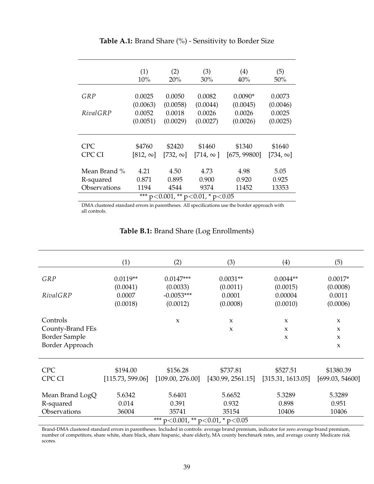<span id="page-39-0"></span>

|              | (1)             | (2)             | (3)                                            | (4)          | (5)             |
|--------------|-----------------|-----------------|------------------------------------------------|--------------|-----------------|
|              | 10%             | 20%             | $30\%$                                         | 40%          | 50%             |
| GRP          | 0.0025          | 0.0050          | 0.0082                                         | $0.0090*$    | 0.0073          |
|              | (0.0063)        | (0.0058)        | (0.0044)                                       | (0.0045)     | (0.0046)        |
| RivalGRP     | 0.0052          | 0.0018          | 0.0026                                         | 0.0026       | 0.0025          |
|              | (0.0051)        | (0.0029)        | (0.0027)                                       | (0.0026)     | (0.0025)        |
|              |                 |                 |                                                |              |                 |
|              |                 |                 |                                                |              |                 |
| <b>CPC</b>   | \$4760          | \$2420          | \$1460                                         | \$1340       | \$1640          |
| CPC CI       | $[812, \infty]$ | $[732, \infty]$ | $[714, \infty]$                                | [675, 99800] | $[734, \infty]$ |
|              |                 |                 |                                                |              |                 |
| Mean Brand % | 4.21            | 4.50            | 4.73                                           | 4.98         | 5.05            |
| R-squared    | 0.871           | 0.895           | 0.900                                          | 0.920        | 0.925           |
| Observations | 1194            | 4544            | 9374                                           | 11452        | 13353           |
|              |                 |                 | *** $p < 0.001$ , ** $p < 0.01$ , * $p < 0.05$ |              |                 |

**Table A.1:** Brand Share (%) - Sensitivity to Border Size

DMA clustered standard errors in parentheses. All specifications use the border approach with all controls.

<span id="page-39-1"></span>

|                      | (1)                                            | (2)                 | (3)                 | (4)                 | (5)                 |  |  |
|----------------------|------------------------------------------------|---------------------|---------------------|---------------------|---------------------|--|--|
| <b>GRP</b>           | $0.0119**$                                     | $0.0147***$         | $0.0031**$          | $0.0044**$          | $0.0017*$           |  |  |
|                      | (0.0041)                                       | (0.0033)            | (0.0011)            | (0.0015)            | (0.0008)            |  |  |
| <b>RivalGRP</b>      | 0.0007                                         | $-0.0053***$        | 0.0001              | 0.00004             | 0.0011              |  |  |
|                      | (0.0018)                                       | (0.0012)            | (0.0008)            | (0.0010)            | (0.0006)            |  |  |
| Controls             |                                                | $\boldsymbol{\chi}$ | $\boldsymbol{\chi}$ | $\mathbf{x}$        | $\mathbf x$         |  |  |
| County-Brand FEs     |                                                |                     | $\boldsymbol{\chi}$ | $\mathbf{x}$        | $\boldsymbol{\chi}$ |  |  |
| <b>Border Sample</b> |                                                |                     |                     | $\boldsymbol{\chi}$ | $\boldsymbol{\chi}$ |  |  |
| Border Approach      |                                                |                     |                     |                     | $\mathbf{x}$        |  |  |
| <b>CPC</b>           | \$194.00                                       | \$156.28            | \$737.81            | \$527.51            | \$1380.39           |  |  |
| CPC CI               | [115.73, 599.06]                               | [109.00, 276.00]    | [430.99, 2561.15]   | [315.31, 1613.05]   | [699.03, 54600]     |  |  |
| Mean Brand LogQ      | 5.6342                                         | 5.6401              | 5.6652              | 5.3289              | 5.3289              |  |  |
| R-squared            | 0.014                                          | 0.391               | 0.932               | 0.898               | 0.951               |  |  |
| Observations         | 36004                                          | 35741               | 35154               | 10406               | 10406               |  |  |
|                      | *** $p < 0.001$ , ** $p < 0.01$ , * $p < 0.05$ |                     |                     |                     |                     |  |  |

**Table B.1:** Brand Share (Log Enrollments)

Brand-DMA clustered standard errors in parentheses. Included in controls: average brand premium, indicator for zero average brand premium, number of competitors, share white, share black, share hispanic, share elderly, MA county benchmark rates, and average county Medicare risk scores.